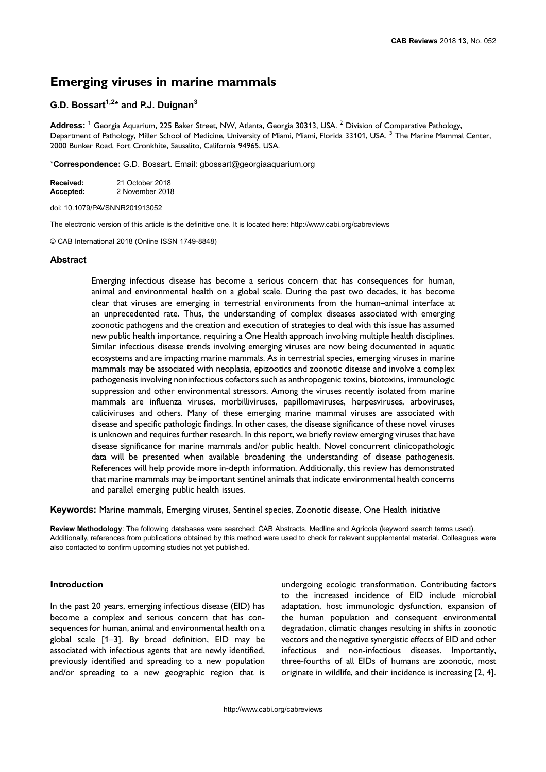# Emerging viruses in marine mammals

# G.D. Bossart<sup>1,2\*</sup> and P.J. Duignan<sup>3</sup>

Address: <sup>1</sup> Georgia Aquarium, 225 Baker Street, NW, Atlanta, Georgia 30313, USA. <sup>2</sup> Division of Comparative Pathology, Department of Pathology, Miller School of Medicine, University of Miami, Miami, Florida 33101, USA.<sup>3</sup> The Marine Mammal Center, 2000 Bunker Road, Fort Cronkhite, Sausalito, California 94965, USA.

\*Correspondence: G.D. Bossart. Email: [gbossart@georgiaaquarium.org](mailto:gbossart@georgiaaquarium.org)

| Received: | 21 October 2018 |
|-----------|-----------------|
| Accepted: | 2 November 2018 |

doi: 10.1079/PAVSNNR201913052

The electronic version of this article is the definitive one. It is located here: http://www.cabi.org/cabreviews

© CAB International 2018 (Online ISSN 1749-8848)

## **Abstract**

Emerging infectious disease has become a serious concern that has consequences for human, animal and environmental health on a global scale. During the past two decades, it has become clear that viruses are emerging in terrestrial environments from the human–animal interface at an unprecedented rate. Thus, the understanding of complex diseases associated with emerging zoonotic pathogens and the creation and execution of strategies to deal with this issue has assumed new public health importance, requiring a One Health approach involving multiple health disciplines. Similar infectious disease trends involving emerging viruses are now being documented in aquatic ecosystems and are impacting marine mammals. As in terrestrial species, emerging viruses in marine mammals may be associated with neoplasia, epizootics and zoonotic disease and involve a complex pathogenesis involving noninfectious cofactors such as anthropogenic toxins, biotoxins, immunologic suppression and other environmental stressors. Among the viruses recently isolated from marine mammals are influenza viruses, morbilliviruses, papillomaviruses, herpesviruses, arboviruses, caliciviruses and others. Many of these emerging marine mammal viruses are associated with disease and specific pathologic findings. In other cases, the disease significance of these novel viruses is unknown and requires further research. In this report, we briefly review emerging viruses that have disease significance for marine mammals and/or public health. Novel concurrent clinicopathologic data will be presented when available broadening the understanding of disease pathogenesis. References will help provide more in-depth information. Additionally, this review has demonstrated that marine mammals may be important sentinel animals that indicate environmental health concerns and parallel emerging public health issues.

Keywords: Marine mammals, Emerging viruses, Sentinel species, Zoonotic disease, One Health initiative

Review Methodology: The following databases were searched: CAB Abstracts, Medline and Agricola (keyword search terms used). Additionally, references from publications obtained by this method were used to check for relevant supplemental material. Colleagues were also contacted to confirm upcoming studies not yet published.

## Introduction

In the past 20 years, emerging infectious disease (EID) has become a complex and serious concern that has consequences for human, animal and environmental health on a global scale [1–[3\]](#page-9-0). By broad definition, EID may be associated with infectious agents that are newly identified, previously identified and spreading to a new population and/or spreading to a new geographic region that is

undergoing ecologic transformation. Contributing factors to the increased incidence of EID include microbial adaptation, host immunologic dysfunction, expansion of the human population and consequent environmental degradation, climatic changes resulting in shifts in zoonotic vectors and the negative synergistic effects of EID and other infectious and non-infectious diseases. Importantly, three-fourths of all EIDs of humans are zoonotic, most originate in wildlife, and their incidence is increasing [\[2, 4](#page-9-0)].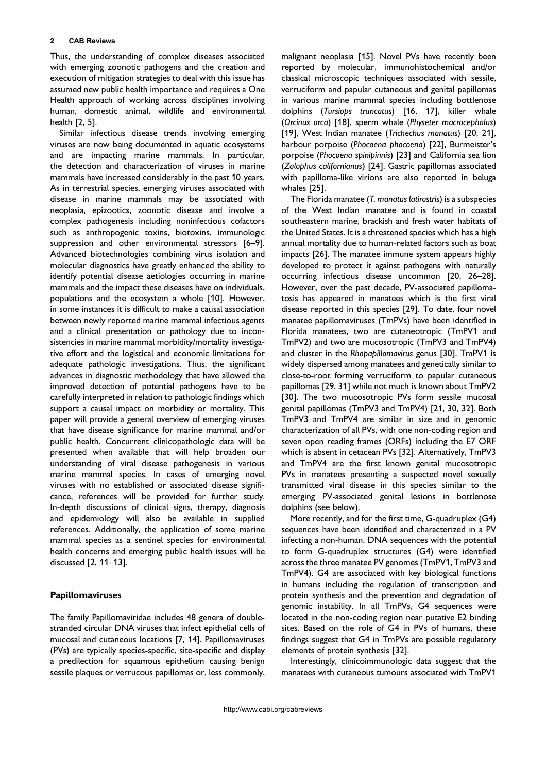Thus, the understanding of complex diseases associated with emerging zoonotic pathogens and the creation and execution of mitigation strategies to deal with this issue has assumed new public health importance and requires a One Health approach of working across disciplines involving human, domestic animal, wildlife and environmental health [\[2, 5](#page-9-0)].

Similar infectious disease trends involving emerging viruses are now being documented in aquatic ecosystems and are impacting marine mammals. In particular, the detection and characterization of viruses in marine mammals have increased considerably in the past 10 years. As in terrestrial species, emerging viruses associated with disease in marine mammals may be associated with neoplasia, epizootics, zoonotic disease and involve a complex pathogenesis including noninfectious cofactors such as anthropogenic toxins, biotoxins, immunologic suppression and other environmental stressors [\[6](#page-9-0)–9]. Advanced biotechnologies combining virus isolation and molecular diagnostics have greatly enhanced the ability to identify potential disease aetiologies occurring in marine mammals and the impact these diseases have on individuals, populations and the ecosystem a whole [\[10](#page-9-0)]. However, in some instances it is difficult to make a causal association between newly reported marine mammal infectious agents and a clinical presentation or pathology due to inconsistencies in marine mammal morbidity/mortality investigative effort and the logistical and economic limitations for adequate pathologic investigations. Thus, the significant advances in diagnostic methodology that have allowed the improved detection of potential pathogens have to be carefully interpreted in relation to pathologic findings which support a causal impact on morbidity or mortality. This paper will provide a general overview of emerging viruses that have disease significance for marine mammal and/or public health. Concurrent clinicopathologic data will be presented when available that will help broaden our understanding of viral disease pathogenesis in various marine mammal species. In cases of emerging novel viruses with no established or associated disease significance, references will be provided for further study. In-depth discussions of clinical signs, therapy, diagnosis and epidemiology will also be available in supplied references. Additionally, the application of some marine mammal species as a sentinel species for environmental health concerns and emerging public health issues will be discussed [\[2, 11](#page-9-0)–13].

# Papillomaviruses

The family Papillomaviridae includes 48 genera of doublestranded circular DNA viruses that infect epithelial cells of mucosal and cutaneous locations [\[7, 14\]](#page-9-0). Papillomaviruses (PVs) are typically species-specific, site-specific and display a predilection for squamous epithelium causing benign sessile plaques or verrucous papillomas or, less commonly,

malignant neoplasia [[15\]](#page-10-0). Novel PVs have recently been reported by molecular, immunohistochemical and/or classical microscopic techniques associated with sessile, verruciform and papular cutaneous and genital papillomas in various marine mammal species including bottlenose dolphins (Tursiops truncatus) [\[16, 17\]](#page-10-0), killer whale (Orcinus orca) [[18\]](#page-10-0), sperm whale (Physeter macrocephalus) [[19\]](#page-10-0), West Indian manatee (Trichechus manatus) [\[20, 21](#page-10-0)], harbour porpoise (Phocoena phocoena) [[22\]](#page-10-0), Burmeister's porpoise (Phocoena spinipinnis) [[23\]](#page-10-0) and California sea lion (Zalophus californianus) [\[24](#page-10-0)]. Gastric papillomas associated with papilloma-like virions are also reported in beluga whales [[25\]](#page-10-0).

The Florida manatee (T. manatus latirostris) is a subspecies of the West Indian manatee and is found in coastal southeastern marine, brackish and fresh water habitats of the United States. It is a threatened species which has a high annual mortality due to human-related factors such as boat impacts [\[26](#page-10-0)]. The manatee immune system appears highly developed to protect it against pathogens with naturally occurring infectious disease uncommon [[20, 26](#page-10-0)–28]. However, over the past decade, PV-associated papillomatosis has appeared in manatees which is the first viral disease reported in this species [\[29](#page-10-0)]. To date, four novel manatee papillomaviruses (TmPVs) have been identified in Florida manatees, two are cutaneotropic (TmPV1 and TmPV2) and two are mucosotropic (TmPV3 and TmPV4) and cluster in the Rhopapillomavirus genus [[30\]](#page-10-0). TmPV1 is widely dispersed among manatees and genetically similar to close-to-root forming verruciform to papular cutaneous papillomas [[29, 31\]](#page-10-0) while not much is known about TmPV2 [[30\]](#page-10-0). The two mucosotropic PVs form sessile mucosal genital papillomas (TmPV3 and TmPV4) [\[21, 30, 32\]](#page-10-0). Both TmPV3 and TmPV4 are similar in size and in genomic characterization of all PVs, with one non-coding region and seven open reading frames (ORFs) including the E7 ORF which is absent in cetacean PVs [[32\]](#page-10-0). Alternatively, TmPV3 and TmPV4 are the first known genital mucosotropic PVs in manatees presenting a suspected novel sexually transmitted viral disease in this species similar to the emerging PV-associated genital lesions in bottlenose dolphins (see below).

More recently, and for the first time, G-quadruplex (G4) sequences have been identified and characterized in a PV infecting a non-human. DNA sequences with the potential to form G-quadruplex structures (G4) were identified across the three manatee PV genomes (TmPV1, TmPV3 and TmPV4). G4 are associated with key biological functions in humans including the regulation of transcription and protein synthesis and the prevention and degradation of genomic instability. In all TmPVs, G4 sequences were located in the non-coding region near putative E2 binding sites. Based on the role of G4 in PVs of humans, these findings suggest that G4 in TmPVs are possible regulatory elements of protein synthesis [[32\]](#page-10-0).

Interestingly, clinicoimmunologic data suggest that the manatees with cutaneous tumours associated with TmPV1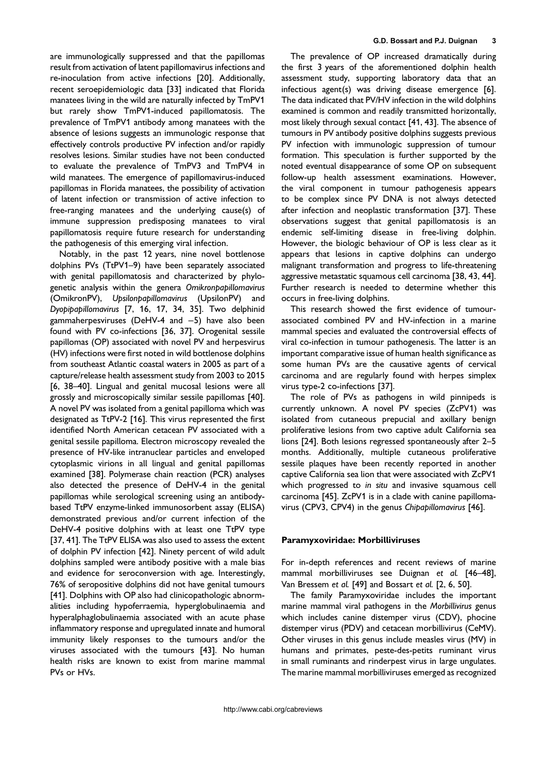are immunologically suppressed and that the papillomas result from activation of latent papillomavirus infections and re-inoculation from active infections [[20\]](#page-10-0). Additionally, recent seroepidemiologic data [[33\]](#page-10-0) indicated that Florida manatees living in the wild are naturally infected by TmPV1 but rarely show TmPV1-induced papillomatosis. The prevalence of TmPV1 antibody among manatees with the absence of lesions suggests an immunologic response that effectively controls productive PV infection and/or rapidly resolves lesions. Similar studies have not been conducted to evaluate the prevalence of TmPV3 and TmPV4 in wild manatees. The emergence of papillomavirus-induced papillomas in Florida manatees, the possibility of activation of latent infection or transmission of active infection to free-ranging manatees and the underlying cause(s) of immune suppression predisposing manatees to viral papillomatosis require future research for understanding the pathogenesis of this emerging viral infection.

Notably, in the past 12 years, nine novel bottlenose dolphins PVs (TtPV1–9) have been separately associated with genital papillomatosis and characterized by phylogenetic analysis within the genera Omikronpapillomavirus (OmikronPV), Upsilonpapillomavirus (UpsilonPV) and Dyopipapillomavirus [[7, 16, 17, 34, 35\]](#page-9-0). Two delphinid gammaherpesviruses (DeHV-4 and −5) have also been found with PV co-infections [\[36, 37\]](#page-10-0). Orogenital sessile papillomas (OP) associated with novel PV and herpesvirus (HV) infections were first noted in wild bottlenose dolphins from southeast Atlantic coastal waters in 2005 as part of a capture/release health assessment study from 2003 to 2015 [[6, 38](#page-9-0)–40]. Lingual and genital mucosal lesions were all grossly and microscopically similar sessile papillomas [\[40](#page-10-0)]. A novel PV was isolated from a genital papilloma which was designated as TtPV-2 [\[16](#page-10-0)]. This virus represented the first identified North American cetacean PV associated with a genital sessile papilloma. Electron microscopy revealed the presence of HV-like intranuclear particles and enveloped cytoplasmic virions in all lingual and genital papillomas examined [[38\]](#page-10-0). Polymerase chain reaction (PCR) analyses also detected the presence of DeHV-4 in the genital papillomas while serological screening using an antibodybased TtPV enzyme-linked immunosorbent assay (ELISA) demonstrated previous and/or current infection of the DeHV-4 positive dolphins with at least one TtPV type [[37, 41](#page-10-0)]. The TtPV ELISA was also used to assess the extent of dolphin PV infection [\[42\]](#page-11-0). Ninety percent of wild adult dolphins sampled were antibody positive with a male bias and evidence for seroconversion with age. Interestingly, 76% of seropositive dolphins did not have genital tumours [[41\]](#page-11-0). Dolphins with OP also had clinicopathologic abnormalities including hypoferraemia, hyperglobulinaemia and hyperalphaglobulinaemia associated with an acute phase inflammatory response and upregulated innate and humoral immunity likely responses to the tumours and/or the viruses associated with the tumours [\[43](#page-11-0)]. No human health risks are known to exist from marine mammal PVs or HVs.

The prevalence of OP increased dramatically during the first 3 years of the aforementioned dolphin health assessment study, supporting laboratory data that an infectious agent(s) was driving disease emergence [\[6](#page-9-0)]. The data indicated that PV/HV infection in the wild dolphins examined is common and readily transmitted horizontally, most likely through sexual contact [\[41, 43\]](#page-11-0). The absence of tumours in PV antibody positive dolphins suggests previous PV infection with immunologic suppression of tumour formation. This speculation is further supported by the noted eventual disappearance of some OP on subsequent follow-up health assessment examinations. However, the viral component in tumour pathogenesis appears to be complex since PV DNA is not always detected after infection and neoplastic transformation [[37\]](#page-10-0). These observations suggest that genital papillomatosis is an endemic self-limiting disease in free-living dolphin. However, the biologic behaviour of OP is less clear as it appears that lesions in captive dolphins can undergo malignant transformation and progress to life-threatening aggressive metastatic squamous cell carcinoma [\[38, 43, 44](#page-10-0)]. Further research is needed to determine whether this occurs in free-living dolphins.

This research showed the first evidence of tumourassociated combined PV and HV-infection in a marine mammal species and evaluated the controversial effects of viral co-infection in tumour pathogenesis. The latter is an important comparative issue of human health significance as some human PVs are the causative agents of cervical carcinoma and are regularly found with herpes simplex virus type-2 co-infections [[37\]](#page-10-0).

The role of PVs as pathogens in wild pinnipeds is currently unknown. A novel PV species (ZcPV1) was isolated from cutaneous prepucial and axillary benign proliferative lesions from two captive adult California sea lions [[24\]](#page-10-0). Both lesions regressed spontaneously after 2–5 months. Additionally, multiple cutaneous proliferative sessile plaques have been recently reported in another captive California sea lion that were associated with ZcPV1 which progressed to in situ and invasive squamous cell carcinoma [[45\]](#page-11-0). ZcPV1 is in a clade with canine papillomavirus (CPV3, CPV4) in the genus Chipapillomavirus [\[46](#page-11-0)].

#### Paramyxoviridae: Morbilliviruses

For in-depth references and recent reviews of marine mammal morbilliviruses see Duignan et al. [\[46](#page-11-0)–48], Van Bressem et al. [[49\]](#page-11-0) and Bossart et al. [\[2, 6, 50\]](#page-9-0).

The family Paramyxoviridae includes the important marine mammal viral pathogens in the Morbillivirus genus which includes canine distemper virus (CDV), phocine distemper virus (PDV) and cetacean morbillivirus (CeMV). Other viruses in this genus include measles virus (MV) in humans and primates, peste-des-petits ruminant virus in small ruminants and rinderpest virus in large ungulates. The marine mammal morbilliviruses emerged as recognized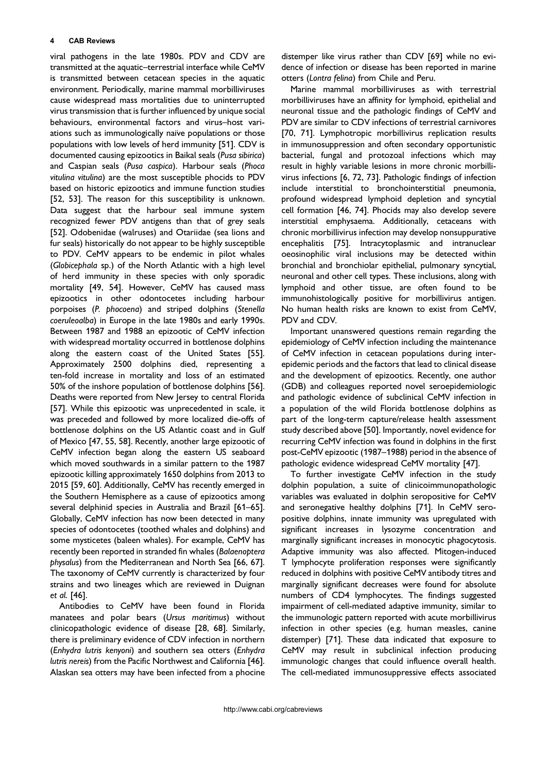viral pathogens in the late 1980s. PDV and CDV are transmitted at the aquatic–terrestrial interface while CeMV is transmitted between cetacean species in the aquatic environment. Periodically, marine mammal morbilliviruses cause widespread mass mortalities due to uninterrupted virus transmission that is further influenced by unique social behaviours, environmental factors and virus–host variations such as immunologically naïve populations or those populations with low levels of herd immunity [\[51](#page-11-0)]. CDV is documented causing epizootics in Baikal seals (Pusa sibirica) and Caspian seals (Pusa caspica). Harbour seals (Phoca vitulina vitulina) are the most susceptible phocids to PDV based on historic epizootics and immune function studies [[52, 53\]](#page-11-0). The reason for this susceptibility is unknown. Data suggest that the harbour seal immune system recognized fewer PDV antigens than that of grey seals [[52\]](#page-11-0). Odobenidae (walruses) and Otariidae (sea lions and fur seals) historically do not appear to be highly susceptible to PDV. CeMV appears to be endemic in pilot whales (Globicephala sp.) of the North Atlantic with a high level of herd immunity in these species with only sporadic mortality [[49, 54\]](#page-11-0). However, CeMV has caused mass epizootics in other odontocetes including harbour porpoises (P. phocoena) and striped dolphins (Stenella coeruleoalba) in Europe in the late 1980s and early 1990s. Between 1987 and 1988 an epizootic of CeMV infection with widespread mortality occurred in bottlenose dolphins along the eastern coast of the United States [\[55](#page-11-0)]. Approximately 2500 dolphins died, representing a ten-fold increase in mortality and loss of an estimated 50% of the inshore population of bottlenose dolphins [\[56](#page-11-0)]. Deaths were reported from New Jersey to central Florida [[57\]](#page-11-0). While this epizootic was unprecedented in scale, it was preceded and followed by more localized die-offs of bottlenose dolphins on the US Atlantic coast and in Gulf of Mexico [[47, 55, 58](#page-11-0)]. Recently, another large epizootic of CeMV infection began along the eastern US seaboard which moved southwards in a similar pattern to the 1987 epizootic killing approximately 1650 dolphins from 2013 to 2015 [[59, 60](#page-11-0)]. Additionally, CeMV has recently emerged in the Southern Hemisphere as a cause of epizootics among several delphinid species in Australia and Brazil [\[61](#page-11-0)–65]. Globally, CeMV infection has now been detected in many species of odontocetes (toothed whales and dolphins) and some mysticetes (baleen whales). For example, CeMV has recently been reported in stranded fin whales (Balaenoptera physalus) from the Mediterranean and North Sea [[66, 67](#page-11-0)]. The taxonomy of CeMV currently is characterized by four strains and two lineages which are reviewed in Duignan et al. [[46\]](#page-11-0).

Antibodies to CeMV have been found in Florida manatees and polar bears (Ursus maritimus) without clinicopathologic evidence of disease [[28, 68\]](#page-10-0). Similarly, there is preliminary evidence of CDV infection in northern (Enhydra lutris kenyoni) and southern sea otters (Enhydra lutris nereis) from the Pacific Northwest and California [\[46](#page-11-0)]. Alaskan sea otters may have been infected from a phocine

distemper like virus rather than CDV [\[69](#page-12-0)] while no evidence of infection or disease has been reported in marine otters (Lontra felina) from Chile and Peru.

Marine mammal morbilliviruses as with terrestrial morbilliviruses have an affinity for lymphoid, epithelial and neuronal tissue and the pathologic findings of CeMV and PDV are similar to CDV infections of terrestrial carnivores [[70, 71\]](#page-12-0). Lymphotropic morbillivirus replication results in immunosuppression and often secondary opportunistic bacterial, fungal and protozoal infections which may result in highly variable lesions in more chronic morbillivirus infections [[6, 72, 73](#page-9-0)]. Pathologic findings of infection include interstitial to bronchointerstitial pneumonia, profound widespread lymphoid depletion and syncytial cell formation [[46, 74\]](#page-11-0). Phocids may also develop severe interstitial emphysaema. Additionally, cetaceans with chronic morbillivirus infection may develop nonsuppurative encephalitis [[75\]](#page-12-0). Intracytoplasmic and intranuclear oeosinophilic viral inclusions may be detected within bronchial and bronchiolar epithelial, pulmonary syncytial, neuronal and other cell types. These inclusions, along with lymphoid and other tissue, are often found to be immunohistologically positive for morbillivirus antigen. No human health risks are known to exist from CeMV, PDV and CDV.

Important unanswered questions remain regarding the epidemiology of CeMV infection including the maintenance of CeMV infection in cetacean populations during interepidemic periods and the factors that lead to clinical disease and the development of epizootics. Recently, one author (GDB) and colleagues reported novel seroepidemiologic and pathologic evidence of subclinical CeMV infection in a population of the wild Florida bottlenose dolphins as part of the long-term capture/release health assessment study described above [[50](#page-11-0)]. Importantly, novel evidence for recurring CeMV infection was found in dolphins in the first post-CeMV epizootic (1987–1988) period in the absence of pathologic evidence widespread CeMV mortality [[47\]](#page-11-0).

To further investigate CeMV infection in the study dolphin population, a suite of clinicoimmunopathologic variables was evaluated in dolphin seropositive for CeMV and seronegative healthy dolphins [\[71](#page-12-0)]. In CeMV seropositive dolphins, innate immunity was upregulated with significant increases in lysozyme concentration and marginally significant increases in monocytic phagocytosis. Adaptive immunity was also affected. Mitogen-induced T lymphocyte proliferation responses were significantly reduced in dolphins with positive CeMV antibody titres and marginally significant decreases were found for absolute numbers of CD4 lymphocytes. The findings suggested impairment of cell-mediated adaptive immunity, similar to the immunologic pattern reported with acute morbillivirus infection in other species (e.g. human measles, canine distemper) [\[71](#page-12-0)]. These data indicated that exposure to CeMV may result in subclinical infection producing immunologic changes that could influence overall health. The cell-mediated immunosuppressive effects associated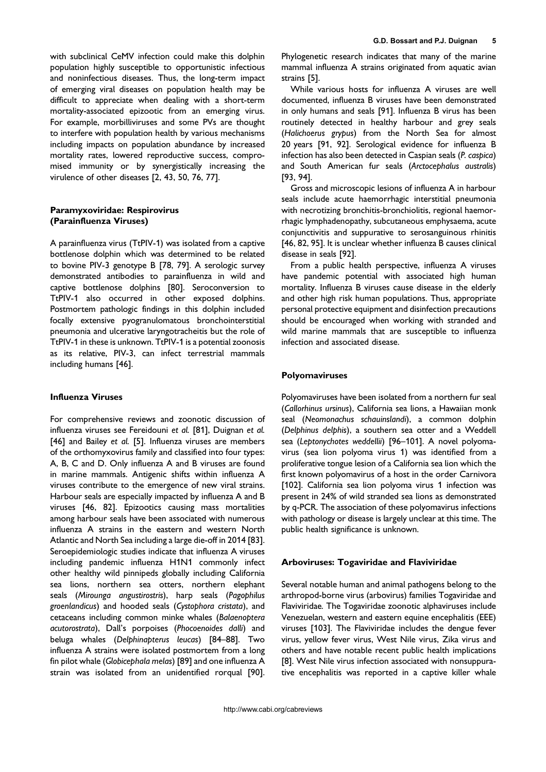with subclinical CeMV infection could make this dolphin population highly susceptible to opportunistic infectious and noninfectious diseases. Thus, the long-term impact of emerging viral diseases on population health may be difficult to appreciate when dealing with a short-term mortality-associated epizootic from an emerging virus. For example, morbilliviruses and some PVs are thought to interfere with population health by various mechanisms including impacts on population abundance by increased mortality rates, lowered reproductive success, compromised immunity or by synergistically increasing the virulence of other diseases [[2, 43, 50, 76, 77](#page-9-0)].

# Paramyxoviridae: Respirovirus (Parainfluenza Viruses)

A parainfluenza virus (TtPIV-1) was isolated from a captive bottlenose dolphin which was determined to be related to bovine PIV-3 genotype B [[78, 79\]](#page-12-0). A serologic survey demonstrated antibodies to parainfluenza in wild and captive bottlenose dolphins [\[80](#page-12-0)]. Seroconversion to TtPIV-1 also occurred in other exposed dolphins. Postmortem pathologic findings in this dolphin included focally extensive pyogranulomatous bronchointerstitial pneumonia and ulcerative laryngotracheitis but the role of TtPIV-1 in these is unknown. TtPIV-1 is a potential zoonosis as its relative, PIV-3, can infect terrestrial mammals including humans [[46\]](#page-11-0).

# Influenza Viruses

For comprehensive reviews and zoonotic discussion of influenza viruses see Fereidouni et al. [\[81](#page-12-0)], Duignan et al. [[46\]](#page-11-0) and Bailey et al. [\[5](#page-9-0)]. Influenza viruses are members of the orthomyxovirus family and classified into four types: A, B, C and D. Only influenza A and B viruses are found in marine mammals. Antigenic shifts within influenza A viruses contribute to the emergence of new viral strains. Harbour seals are especially impacted by influenza A and B viruses [[46, 82](#page-11-0)]. Epizootics causing mass mortalities among harbour seals have been associated with numerous influenza A strains in the eastern and western North Atlantic and North Sea including a large die-off in 2014 [\[83](#page-12-0)]. Seroepidemiologic studies indicate that influenza A viruses including pandemic influenza H1N1 commonly infect other healthy wild pinnipeds globally including California sea lions, northern sea otters, northern elephant seals (Mirounga angustirostris), harp seals (Pagophilus groenlandicus) and hooded seals (Cystophora cristata), and cetaceans including common minke whales (Balaenoptera acutorostrata), Dall's porpoises (Phocoenoides dalli) and beluga whales (Delphinapterus leucas) [\[84](#page-12-0)–88]. Two influenza A strains were isolated postmortem from a long fin pilot whale (Globicephala melas) [\[89](#page-12-0)] and one influenza A strain was isolated from an unidentified rorqual [\[90](#page-12-0)].

Phylogenetic research indicates that many of the marine mammal influenza A strains originated from aquatic avian strains [[5\]](#page-9-0).

While various hosts for influenza A viruses are well documented, influenza B viruses have been demonstrated in only humans and seals [\[91](#page-12-0)]. Influenza B virus has been routinely detected in healthy harbour and grey seals (Halichoerus grypus) from the North Sea for almost 20 years [\[91, 92](#page-12-0)]. Serological evidence for influenza B infection has also been detected in Caspian seals (P. caspica) and South American fur seals (Arctocephalus australis) [[93, 94](#page-12-0)].

Gross and microscopic lesions of influenza A in harbour seals include acute haemorrhagic interstitial pneumonia with necrotizing bronchitis-bronchiolitis, regional haemorrhagic lymphadenopathy, subcutaneous emphysaema, acute conjunctivitis and suppurative to serosanguinous rhinitis [[46, 82, 95\]](#page-11-0). It is unclear whether influenza B causes clinical disease in seals [[92\]](#page-12-0).

From a public health perspective, influenza A viruses have pandemic potential with associated high human mortality. Influenza B viruses cause disease in the elderly and other high risk human populations. Thus, appropriate personal protective equipment and disinfection precautions should be encouraged when working with stranded and wild marine mammals that are susceptible to influenza infection and associated disease.

## Polyomaviruses

Polyomaviruses have been isolated from a northern fur seal (Callorhinus ursinus), California sea lions, a Hawaiian monk seal (Neomonachus schauinslandi), a common dolphin (Delphinus delphis), a southern sea otter and a Weddell sea (Leptonychotes weddellii) [96–[101\]](#page-12-0). A novel polyomavirus (sea lion polyoma virus 1) was identified from a proliferative tongue lesion of a California sea lion which the first known polyomavirus of a host in the order Carnivora [[102\]](#page-13-0). California sea lion polyoma virus 1 infection was present in 24% of wild stranded sea lions as demonstrated by q-PCR. The association of these polyomavirus infections with pathology or disease is largely unclear at this time. The public health significance is unknown.

#### Arboviruses: Togaviridae and Flaviviridae

Several notable human and animal pathogens belong to the arthropod-borne virus (arbovirus) families Togaviridae and Flaviviridae. The Togaviridae zoonotic alphaviruses include Venezuelan, western and eastern equine encephalitis (EEE) viruses [[103\]](#page-13-0). The Flaviviridae includes the dengue fever virus, yellow fever virus, West Nile virus, Zika virus and others and have notable recent public health implications [[8\]](#page-9-0). West Nile virus infection associated with nonsuppurative encephalitis was reported in a captive killer whale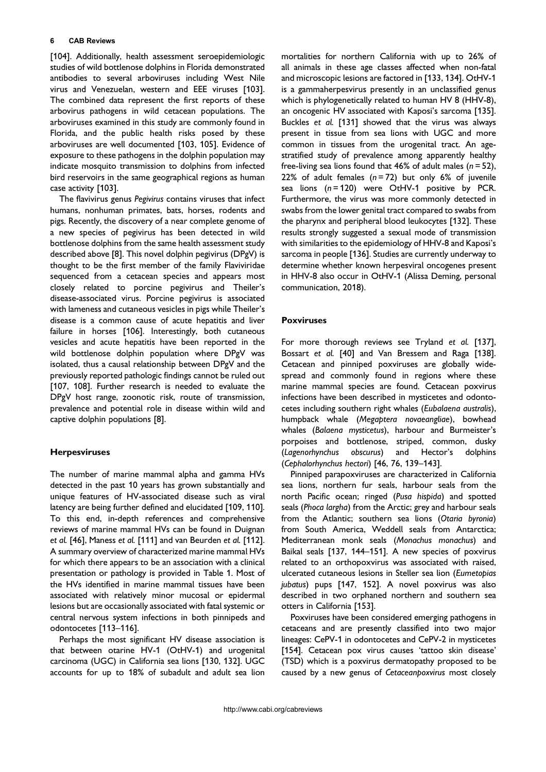[[104\]](#page-13-0). Additionally, health assessment seroepidemiologic studies of wild bottlenose dolphins in Florida demonstrated antibodies to several arboviruses including West Nile virus and Venezuelan, western and EEE viruses [\[103](#page-13-0)]. The combined data represent the first reports of these arbovirus pathogens in wild cetacean populations. The arboviruses examined in this study are commonly found in Florida, and the public health risks posed by these arboviruses are well documented [[103, 105\]](#page-13-0). Evidence of exposure to these pathogens in the dolphin population may indicate mosquito transmission to dolphins from infected bird reservoirs in the same geographical regions as human case activity [[103\]](#page-13-0).

The flavivirus genus Pegivirus contains viruses that infect humans, nonhuman primates, bats, horses, rodents and pigs. Recently, the discovery of a near complete genome of a new species of pegivirus has been detected in wild bottlenose dolphins from the same health assessment study described above [[8\]](#page-9-0). This novel dolphin pegivirus (DPgV) is thought to be the first member of the family Flaviviridae sequenced from a cetacean species and appears most closely related to porcine pegivirus and Theiler's disease-associated virus. Porcine pegivirus is associated with lameness and cutaneous vesicles in pigs while Theiler's disease is a common cause of acute hepatitis and liver failure in horses [\[106](#page-13-0)]. Interestingly, both cutaneous vesicles and acute hepatitis have been reported in the wild bottlenose dolphin population where DPgV was isolated, thus a causal relationship between DPgV and the previously reported pathologic findings cannot be ruled out [[107, 108](#page-13-0)]. Further research is needed to evaluate the DPgV host range, zoonotic risk, route of transmission, prevalence and potential role in disease within wild and captive dolphin populations [[8\]](#page-9-0).

## Herpesviruses

The number of marine mammal alpha and gamma HVs detected in the past 10 years has grown substantially and unique features of HV-associated disease such as viral latency are being further defined and elucidated [[109, 110](#page-13-0)]. To this end, in-depth references and comprehensive reviews of marine mammal HVs can be found in Duignan et al. [\[46](#page-11-0)], Maness et al. [\[111](#page-13-0)] and van Beurden et al. [\[112](#page-13-0)]. A summary overview of characterized marine mammal HVs for which there appears to be an association with a clinical presentation or pathology is provided in [Table 1.](#page-6-0) Most of the HVs identified in marine mammal tissues have been associated with relatively minor mucosal or epidermal lesions but are occasionally associated with fatal systemic or central nervous system infections in both pinnipeds and odontocetes [\[113](#page-13-0)–116].

Perhaps the most significant HV disease association is that between otarine HV-1 (OtHV-1) and urogenital carcinoma (UGC) in California sea lions [\[130, 132\]](#page-14-0). UGC accounts for up to 18% of subadult and adult sea lion mortalities for northern California with up to 26% of all animals in these age classes affected when non-fatal and microscopic lesions are factored in [[133, 134](#page-14-0)]. OtHV-1 is a gammaherpesvirus presently in an unclassified genus which is phylogenetically related to human HV 8 (HHV-8), an oncogenic HV associated with Kaposi's sarcoma [\[135](#page-14-0)]. Buckles et al. [\[131](#page-14-0)] showed that the virus was always present in tissue from sea lions with UGC and more common in tissues from the urogenital tract. An agestratified study of prevalence among apparently healthy free-living sea lions found that 46% of adult males  $(n = 52)$ , 22% of adult females  $(n=72)$  but only 6% of juvenile sea lions  $(n = 120)$  were OtHV-1 positive by PCR. Furthermore, the virus was more commonly detected in swabs from the lower genital tract compared to swabs from the pharynx and peripheral blood leukocytes [\[132](#page-14-0)]. These results strongly suggested a sexual mode of transmission with similarities to the epidemiology of HHV-8 and Kaposi's sarcoma in people [\[136](#page-14-0)]. Studies are currently underway to determine whether known herpesviral oncogenes present in HHV-8 also occur in OtHV-1 (Alissa Deming, personal communication, 2018).

### Poxviruses

For more thorough reviews see Tryland et al. [\[137](#page-14-0)], Bossart et al. [\[40](#page-10-0)] and Van Bressem and Raga [\[138](#page-14-0)]. Cetacean and pinniped poxviruses are globally widespread and commonly found in regions where these marine mammal species are found. Cetacean poxvirus infections have been described in mysticetes and odontocetes including southern right whales (Eubalaena australis), humpback whale (Megaptera novaeangliae), bowhead whales (Balaena mysticetus), harbour and Burmeister's porpoises and bottlenose, striped, common, dusky (Lagenorhynchus obscurus) and Hector's dolphins (Cephalorhynchus hectori) [[46, 76, 139](#page-11-0)–143].

Pinniped parapoxviruses are characterized in California sea lions, northern fur seals, harbour seals from the north Pacific ocean; ringed (Pusa hispida) and spotted seals (Phoca largha) from the Arctic; grey and harbour seals from the Atlantic; southern sea lions (Otaria byronia) from South America, Weddell seals from Antarctica; Mediterranean monk seals (Monachus monachus) and Baikal seals [[137, 144](#page-14-0)–151]. A new species of poxvirus related to an orthopoxvirus was associated with raised, ulcerated cutaneous lesions in Steller sea lion (Eumetopias jubatus) pups [\[147, 152](#page-14-0)]. A novel poxvirus was also described in two orphaned northern and southern sea otters in California [\[153](#page-14-0)].

Poxviruses have been considered emerging pathogens in cetaceans and are presently classified into two major lineages: CePV-1 in odontocetes and CePV-2 in mysticetes [[154\]](#page-14-0). Cetacean pox virus causes 'tattoo skin disease' (TSD) which is a poxvirus dermatopathy proposed to be caused by a new genus of Cetaceanpoxvirus most closely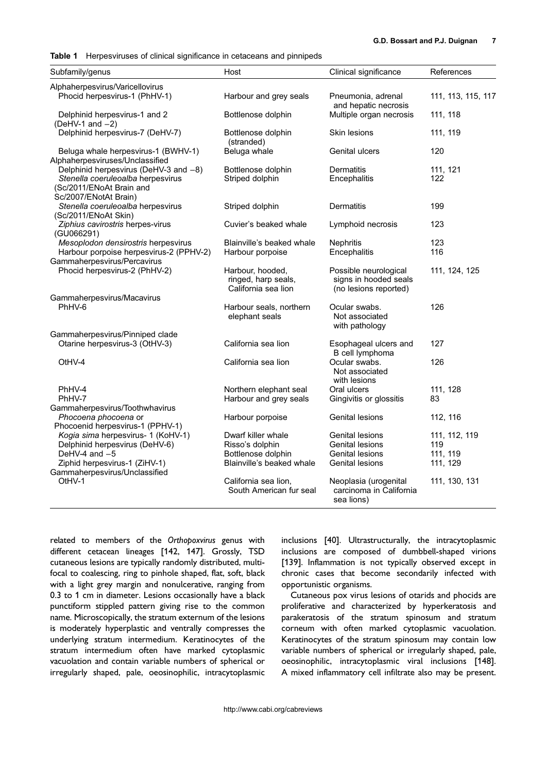<span id="page-6-0"></span>Table 1 Herpesviruses of clinical significance in cetaceans and pinnipeds

| Subfamily/genus                                                                        | Host                                                           | Clinical significance                                                   | References         |
|----------------------------------------------------------------------------------------|----------------------------------------------------------------|-------------------------------------------------------------------------|--------------------|
| Alphaherpesvirus/Varicellovirus                                                        |                                                                |                                                                         |                    |
| Phocid herpesvirus-1 (PhHV-1)                                                          | Harbour and grey seals                                         | Pneumonia, adrenal<br>and hepatic necrosis                              | 111, 113, 115, 117 |
| Delphinid herpesvirus-1 and 2<br>(DeHV-1 and $-2$ )                                    | Bottlenose dolphin                                             | Multiple organ necrosis                                                 | 111, 118           |
| Delphinid herpesvirus-7 (DeHV-7)                                                       | Bottlenose dolphin<br>(stranded)                               | Skin lesions                                                            | 111, 119           |
| Beluga whale herpesvirus-1 (BWHV-1)<br>Alphaherpesviruses/Unclassified                 | Beluga whale                                                   | Genital ulcers                                                          | 120                |
| Delphinid herpesvirus (DeHV-3 and -8)                                                  | Bottlenose dolphin                                             | Dermatitis                                                              | 111, 121           |
| Stenella coeruleoalba herpesvirus<br>(Sc/2011/ENoAt Brain and<br>Sc/2007/ENotAt Brain) | Striped dolphin                                                | Encephalitis                                                            | 122                |
| Stenella coeruleoalba herpesvirus<br>(Sc/2011/ENoAt Skin)                              | Striped dolphin                                                | Dermatitis                                                              | 199                |
| Ziphius cavirostris herpes-virus<br>(GU066291)                                         | Cuvier's beaked whale                                          | Lymphoid necrosis                                                       | 123                |
| Mesoplodon densirostris herpesvirus                                                    | Blainville's beaked whale                                      | <b>Nephritis</b>                                                        | 123                |
| Harbour porpoise herpesvirus-2 (PPHV-2)                                                | Harbour porpoise                                               | Encephalitis                                                            | 116                |
| Gammaherpesvirus/Percavirus<br>Phocid herpesvirus-2 (PhHV-2)                           | Harbour, hooded,<br>ringed, harp seals,<br>California sea lion | Possible neurological<br>signs in hooded seals<br>(no lesions reported) | 111, 124, 125      |
| Gammaherpesvirus/Macavirus                                                             |                                                                |                                                                         |                    |
| PhHV-6                                                                                 | Harbour seals, northern<br>elephant seals                      | Ocular swabs.<br>Not associated<br>with pathology                       | 126                |
| Gammaherpesvirus/Pinniped clade                                                        |                                                                |                                                                         |                    |
| Otarine herpesvirus-3 (OtHV-3)                                                         | California sea lion                                            | Esophageal ulcers and<br>B cell lymphoma                                | 127                |
| OtHV-4                                                                                 | California sea lion                                            | Ocular swabs.<br>Not associated<br>with lesions                         | 126                |
| PhHV-4                                                                                 | Northern elephant seal                                         | Oral ulcers                                                             | 111, 128           |
| PhHV-7                                                                                 | Harbour and grey seals                                         | Gingivitis or glossitis                                                 | 83                 |
| Gammaherpesvirus/Toothwhavirus<br>Phocoena phocoena or                                 | Harbour porpoise                                               | <b>Genital lesions</b>                                                  | 112, 116           |
| Phocoenid herpesvirus-1 (PPHV-1)<br>Kogia sima herpesvirus- 1 (KoHV-1)                 | Dwarf killer whale                                             | <b>Genital lesions</b>                                                  | 111, 112, 119      |
| Delphinid herpesvirus (DeHV-6)                                                         | Risso's dolphin                                                | Genital lesions                                                         | 119                |
| DeHV-4 and -5                                                                          | Bottlenose dolphin                                             | Genital lesions                                                         | 111, 119           |
| Ziphid herpesvirus-1 (ZiHV-1)                                                          | Blainville's beaked whale                                      | Genital lesions                                                         | 111, 129           |
| Gammaherpesvirus/Unclassified                                                          |                                                                |                                                                         |                    |
| OtHV-1                                                                                 | California sea lion,<br>South American fur seal                | Neoplasia (urogenital<br>carcinoma in California<br>sea lions)          | 111, 130, 131      |

related to members of the Orthopoxvirus genus with different cetacean lineages [[142, 147](#page-14-0)]. Grossly, TSD cutaneous lesions are typically randomly distributed, multifocal to coalescing, ring to pinhole shaped, flat, soft, black with a light grey margin and nonulcerative, ranging from 0.3 to 1 cm in diameter. Lesions occasionally have a black punctiform stippled pattern giving rise to the common name. Microscopically, the stratum externum of the lesions is moderately hyperplastic and ventrally compresses the underlying stratum intermedium. Keratinocytes of the stratum intermedium often have marked cytoplasmic vacuolation and contain variable numbers of spherical or irregularly shaped, pale, oeosinophilic, intracytoplasmic

inclusions [[40\]](#page-10-0). Ultrastructurally, the intracytoplasmic inclusions are composed of dumbbell-shaped virions [[139\]](#page-14-0). Inflammation is not typically observed except in chronic cases that become secondarily infected with opportunistic organisms.

Cutaneous pox virus lesions of otarids and phocids are proliferative and characterized by hyperkeratosis and parakeratosis of the stratum spinosum and stratum corneum with often marked cytoplasmic vacuolation. Keratinocytes of the stratum spinosum may contain low variable numbers of spherical or irregularly shaped, pale, oeosinophilic, intracytoplasmic viral inclusions [\[148](#page-14-0)]. A mixed inflammatory cell infiltrate also may be present.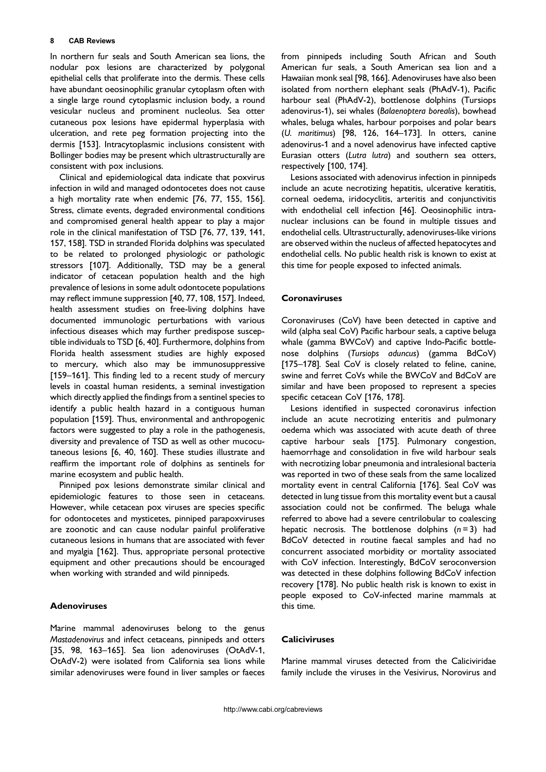In northern fur seals and South American sea lions, the nodular pox lesions are characterized by polygonal epithelial cells that proliferate into the dermis. These cells have abundant oeosinophilic granular cytoplasm often with a single large round cytoplasmic inclusion body, a round vesicular nucleus and prominent nucleolus. Sea otter cutaneous pox lesions have epidermal hyperplasia with ulceration, and rete peg formation projecting into the dermis [\[153](#page-14-0)]. Intracytoplasmic inclusions consistent with Bollinger bodies may be present which ultrastructurally are consistent with pox inclusions.

Clinical and epidemiological data indicate that poxvirus infection in wild and managed odontocetes does not cause a high mortality rate when endemic [\[76, 77, 155, 156](#page-12-0)]. Stress, climate events, degraded environmental conditions and compromised general health appear to play a major role in the clinical manifestation of TSD [[76, 77, 139, 141,](#page-12-0) [157, 158](#page-12-0)]. TSD in stranded Florida dolphins was speculated to be related to prolonged physiologic or pathologic stressors [[107\]](#page-13-0). Additionally, TSD may be a general indicator of cetacean population health and the high prevalence of lesions in some adult odontocete populations may reflect immune suppression [\[40, 77, 108, 157\]](#page-10-0). Indeed, health assessment studies on free-living dolphins have documented immunologic perturbations with various infectious diseases which may further predispose susceptible individuals to TSD [[6, 40](#page-9-0)]. Furthermore, dolphins from Florida health assessment studies are highly exposed to mercury, which also may be immunosuppressive [159–[161\]](#page-15-0). This finding led to a recent study of mercury levels in coastal human residents, a seminal investigation which directly applied the findings from a sentinel species to identify a public health hazard in a contiguous human population [[159\]](#page-15-0). Thus, environmental and anthropogenic factors were suggested to play a role in the pathogenesis, diversity and prevalence of TSD as well as other mucocutaneous lesions [\[6, 40, 160](#page-9-0)]. These studies illustrate and reaffirm the important role of dolphins as sentinels for marine ecosystem and public health.

Pinniped pox lesions demonstrate similar clinical and epidemiologic features to those seen in cetaceans. However, while cetacean pox viruses are species specific for odontocetes and mysticetes, pinniped parapoxviruses are zoonotic and can cause nodular painful proliferative cutaneous lesions in humans that are associated with fever and myalgia [[162\]](#page-15-0). Thus, appropriate personal protective equipment and other precautions should be encouraged when working with stranded and wild pinnipeds.

## **Adenoviruses**

Marine mammal adenoviruses belong to the genus Mastadenovirus and infect cetaceans, pinnipeds and otters [[35, 98, 163](#page-10-0)–165]. Sea lion adenoviruses (OtAdV-1, OtAdV-2) were isolated from California sea lions while similar adenoviruses were found in liver samples or faeces from pinnipeds including South African and South American fur seals, a South American sea lion and a Hawaiian monk seal [[98, 166](#page-12-0)]. Adenoviruses have also been isolated from northern elephant seals (PhAdV-1), Pacific harbour seal (PhAdV-2), bottlenose dolphins (Tursiops adenovirus-1), sei whales (Balaenoptera borealis), bowhead whales, beluga whales, harbour porpoises and polar bears (U. maritimus) [\[98, 126, 164](#page-12-0)–173]. In otters, canine adenovirus-1 and a novel adenovirus have infected captive Eurasian otters (Lutra lutra) and southern sea otters, respectively [\[100, 174](#page-13-0)].

Lesions associated with adenovirus infection in pinnipeds include an acute necrotizing hepatitis, ulcerative keratitis, corneal oedema, iridocyclitis, arteritis and conjunctivitis with endothelial cell infection [\[46](#page-11-0)]. Oeosinophilic intranuclear inclusions can be found in multiple tissues and endothelial cells. Ultrastructurally, adenoviruses-like virions are observed within the nucleus of affected hepatocytes and endothelial cells. No public health risk is known to exist at this time for people exposed to infected animals.

### **Coronaviruses**

Coronaviruses (CoV) have been detected in captive and wild (alpha seal CoV) Pacific harbour seals, a captive beluga whale (gamma BWCoV) and captive Indo-Pacific bottlenose dolphins (Tursiops aduncus) (gamma BdCoV) [175–[178\]](#page-15-0). Seal CoV is closely related to feline, canine, swine and ferret CoVs while the BWCoV and BdCoV are similar and have been proposed to represent a species specific cetacean CoV [[176, 178\]](#page-15-0).

Lesions identified in suspected coronavirus infection include an acute necrotizing enteritis and pulmonary oedema which was associated with acute death of three captive harbour seals [[175\]](#page-15-0). Pulmonary congestion, haemorrhage and consolidation in five wild harbour seals with necrotizing lobar pneumonia and intralesional bacteria was reported in two of these seals from the same localized mortality event in central California [\[176](#page-15-0)]. Seal CoV was detected in lung tissue from this mortality event but a causal association could not be confirmed. The beluga whale referred to above had a severe centrilobular to coalescing hepatic necrosis. The bottlenose dolphins  $(n=3)$  had BdCoV detected in routine faecal samples and had no concurrent associated morbidity or mortality associated with CoV infection. Interestingly, BdCoV seroconversion was detected in these dolphins following BdCoV infection recovery [\[178](#page-15-0)]. No public health risk is known to exist in people exposed to CoV-infected marine mammals at this time.

## Caliciviruses

Marine mammal viruses detected from the Caliciviridae family include the viruses in the Vesivirus, Norovirus and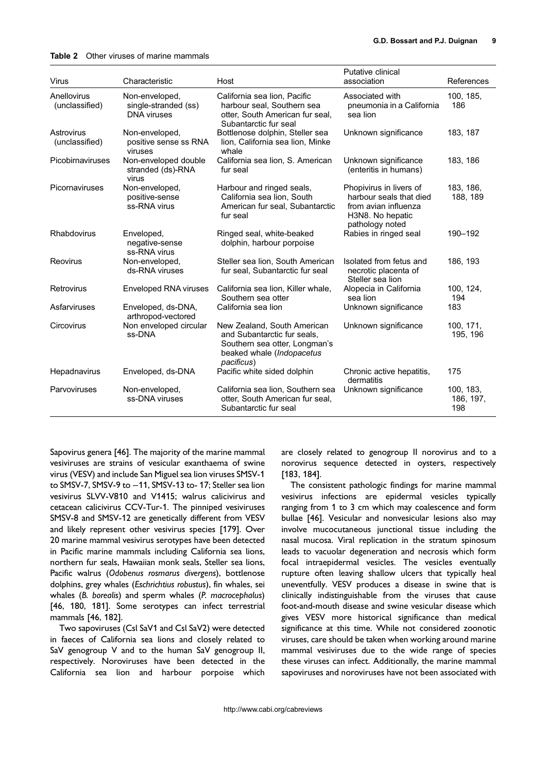<span id="page-8-0"></span>

| Virus                         | Characteristic                                               | Host                                                                                                                                   | Putative clinical<br>association                                                                                                            | References                    |
|-------------------------------|--------------------------------------------------------------|----------------------------------------------------------------------------------------------------------------------------------------|---------------------------------------------------------------------------------------------------------------------------------------------|-------------------------------|
| Anellovirus<br>(unclassified) | Non-enveloped,<br>single-stranded (ss)<br><b>DNA</b> viruses | California sea lion, Pacific<br>harbour seal, Southern sea<br>otter, South American fur seal,<br>Subantarctic fur seal                 | Associated with<br>pneumonia in a California<br>sea lion                                                                                    | 100, 185,<br>186              |
| Astrovirus<br>(unclassified)  | Non-enveloped,<br>positive sense ss RNA<br>viruses           | Bottlenose dolphin, Steller sea<br>lion, California sea lion, Minke<br>whale                                                           | Unknown significance                                                                                                                        | 183, 187                      |
| Picobirnaviruses              | Non-enveloped double<br>stranded (ds)-RNA<br>virus           | California sea lion, S. American<br>fur seal                                                                                           | Unknown significance<br>(enteritis in humans)                                                                                               | 183, 186                      |
| Picornaviruses                | Non-enveloped,<br>positive-sense<br>ss-RNA virus             | Harbour and ringed seals,<br>California sea lion, South<br>American fur seal, Subantarctic<br>fur seal                                 | Phopivirus in livers of<br>harbour seals that died<br>from avian influenza<br>H <sub>3</sub> N <sub>8</sub> . No hepatic<br>pathology noted | 183, 186,<br>188, 189         |
| Rhabdovirus                   | Enveloped,<br>negative-sense<br>ss-RNA virus                 | Ringed seal, white-beaked<br>dolphin, harbour porpoise                                                                                 | Rabies in ringed seal                                                                                                                       | 190-192                       |
| Reovirus                      | Non-enveloped,<br>ds-RNA viruses                             | Steller sea lion, South American<br>fur seal, Subantarctic fur seal                                                                    | Isolated from fetus and<br>necrotic placenta of<br>Steller sea lion                                                                         | 186, 193                      |
| Retrovirus                    | <b>Enveloped RNA viruses</b>                                 | California sea lion, Killer whale,<br>Southern sea otter                                                                               | Alopecia in California<br>sea lion                                                                                                          | 100, 124,<br>194              |
| Asfarviruses                  | Enveloped, ds-DNA,<br>arthropod-vectored                     | California sea lion                                                                                                                    | Unknown significance                                                                                                                        | 183                           |
| Circovirus                    | Non enveloped circular<br>ss-DNA                             | New Zealand, South American<br>and Subantarctic fur seals,<br>Southern sea otter, Longman's<br>beaked whale (Indopacetus<br>pacificus) | Unknown significance                                                                                                                        | 100, 171,<br>195, 196         |
| Hepadnavirus                  | Enveloped, ds-DNA                                            | Pacific white sided dolphin                                                                                                            | Chronic active hepatitis,<br>dermatitis                                                                                                     | 175                           |
| Parvoviruses                  | Non-enveloped,<br>ss-DNA viruses                             | California sea lion, Southern sea<br>otter, South American fur seal,<br>Subantarctic fur seal                                          | Unknown significance                                                                                                                        | 100, 183,<br>186, 197,<br>198 |

Sapovirus genera [\[46](#page-11-0)]. The majority of the marine mammal vesiviruses are strains of vesicular exanthaema of swine virus (VESV) and include San Miguel sea lion viruses SMSV-1 to SMSV-7, SMSV-9 to −11, SMSV-13 to- 17; Steller sea lion vesivirus SLVV-V810 and V1415; walrus calicivirus and cetacean calicivirus CCV-Tur-1. The pinniped vesiviruses SMSV-8 and SMSV-12 are genetically different from VESV and likely represent other vesivirus species [[179\]](#page-15-0). Over 20 marine mammal vesivirus serotypes have been detected in Pacific marine mammals including California sea lions, northern fur seals, Hawaiian monk seals, Steller sea lions, Pacific walrus (Odobenus rosmarus divergens), bottlenose dolphins, grey whales (Eschrichtius robustus), fin whales, sei whales (B. borealis) and sperm whales (P. macrocephalus) [[46, 180, 181](#page-11-0)]. Some serotypes can infect terrestrial mammals [\[46, 182\]](#page-11-0).

Two sapoviruses (Csl SaV1 and Csl SaV2) were detected in faeces of California sea lions and closely related to SaV genogroup V and to the human SaV genogroup II, respectively. Noroviruses have been detected in the California sea lion and harbour porpoise which

are closely related to genogroup II norovirus and to a norovirus sequence detected in oysters, respectively [[183, 184](#page-15-0)].

The consistent pathologic findings for marine mammal vesivirus infections are epidermal vesicles typically ranging from 1 to 3 cm which may coalescence and form bullae [[46\]](#page-11-0). Vesicular and nonvesicular lesions also may involve mucocutaneous junctional tissue including the nasal mucosa. Viral replication in the stratum spinosum leads to vacuolar degeneration and necrosis which form focal intraepidermal vesicles. The vesicles eventually rupture often leaving shallow ulcers that typically heal uneventfully. VESV produces a disease in swine that is clinically indistinguishable from the viruses that cause foot-and-mouth disease and swine vesicular disease which gives VESV more historical significance than medical significance at this time. While not considered zoonotic viruses, care should be taken when working around marine mammal vesiviruses due to the wide range of species these viruses can infect. Additionally, the marine mammal sapoviruses and noroviruses have not been associated with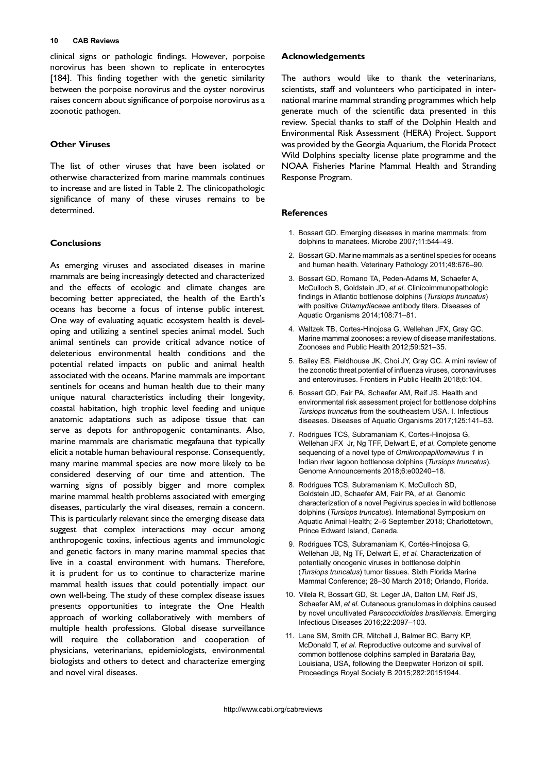<span id="page-9-0"></span>clinical signs or pathologic findings. However, porpoise norovirus has been shown to replicate in enterocytes [[184\]](#page-16-0). This finding together with the genetic similarity between the porpoise norovirus and the oyster norovirus raises concern about significance of porpoise norovirus as a zoonotic pathogen.

## Other Viruses

The list of other viruses that have been isolated or otherwise characterized from marine mammals continues to increase and are listed in [Table 2](#page-8-0). The clinicopathologic significance of many of these viruses remains to be determined.

# **Conclusions**

As emerging viruses and associated diseases in marine mammals are being increasingly detected and characterized and the effects of ecologic and climate changes are becoming better appreciated, the health of the Earth's oceans has become a focus of intense public interest. One way of evaluating aquatic ecosystem health is developing and utilizing a sentinel species animal model. Such animal sentinels can provide critical advance notice of deleterious environmental health conditions and the potential related impacts on public and animal health associated with the oceans. Marine mammals are important sentinels for oceans and human health due to their many unique natural characteristics including their longevity, coastal habitation, high trophic level feeding and unique anatomic adaptations such as adipose tissue that can serve as depots for anthropogenic contaminants. Also, marine mammals are charismatic megafauna that typically elicit a notable human behavioural response. Consequently, many marine mammal species are now more likely to be considered deserving of our time and attention. The warning signs of possibly bigger and more complex marine mammal health problems associated with emerging diseases, particularly the viral diseases, remain a concern. This is particularly relevant since the emerging disease data suggest that complex interactions may occur among anthropogenic toxins, infectious agents and immunologic and genetic factors in many marine mammal species that live in a coastal environment with humans. Therefore, it is prudent for us to continue to characterize marine mammal health issues that could potentially impact our own well-being. The study of these complex disease issues presents opportunities to integrate the One Health approach of working collaboratively with members of multiple health professions. Global disease surveillance will require the collaboration and cooperation of physicians, veterinarians, epidemiologists, environmental biologists and others to detect and characterize emerging and novel viral diseases.

## Acknowledgements

The authors would like to thank the veterinarians, scientists, staff and volunteers who participated in international marine mammal stranding programmes which help generate much of the scientific data presented in this review. Special thanks to staff of the Dolphin Health and Environmental Risk Assessment (HERA) Project. Support was provided by the Georgia Aquarium, the Florida Protect Wild Dolphins specialty license plate programme and the NOAA Fisheries Marine Mammal Health and Stranding Response Program.

## **References**

- 1. Bossart GD. Emerging diseases in marine mammals: from dolphins to manatees. Microbe 2007;11:544–49.
- 2. Bossart GD. Marine mammals as a sentinel species for oceans and human health. Veterinary Pathology 2011;48:676–90.
- 3. Bossart GD, Romano TA, Peden-Adams M, Schaefer A, McCulloch S, Goldstein JD, et al. Clinicoimmunopathologic findings in Atlantic bottlenose dolphins (Tursiops truncatus) with positive Chlamydiaceae antibody titers. Diseases of Aquatic Organisms 2014;108:71–81.
- 4. Waltzek TB, Cortes-Hinojosa G, Wellehan JFX, Gray GC. Marine mammal zoonoses: a review of disease manifestations. Zoonoses and Public Health 2012;59:521–35.
- 5. Bailey ES, Fieldhouse JK, Choi JY, Gray GC. A mini review of the zoonotic threat potential of influenza viruses, coronaviruses and enteroviruses. Frontiers in Public Health 2018;6:104.
- 6. Bossart GD, Fair PA, Schaefer AM, Reif JS. Health and environmental risk assessment project for bottlenose dolphins Tursiops truncatus from the southeastern USA. I. Infectious diseases. Diseases of Aquatic Organisms 2017;125:141–53.
- 7. Rodrigues TCS, Subramaniam K, Cortes-Hinojosa G, Wellehan JFX Jr, Ng TFF, Delwart E, et al. Complete genome sequencing of a novel type of Omikronpapillomavirus 1 in Indian river lagoon bottlenose dolphins (Tursiops truncatus). Genome Announcements 2018;6:e00240–18.
- 8. Rodrigues TCS, Subramaniam K, McCulloch SD, Goldstein JD, Schaefer AM, Fair PA, et al. Genomic characterization of a novel Pegivirus species in wild bottlenose dolphins (Tursiops truncatus). International Symposium on Aquatic Animal Health; 2–6 September 2018; Charlottetown, Prince Edward Island, Canada.
- 9. Rodrigues TCS, Subramaniam K, Cortés-Hinojosa G, Wellehan JB, Ng TF, Delwart E, et al. Characterization of potentially oncogenic viruses in bottlenose dolphin (Tursiops truncatus) tumor tissues. Sixth Florida Marine Mammal Conference; 28–30 March 2018; Orlando, Florida.
- 10. Vilela R, Bossart GD, St. Leger JA, Dalton LM, Reif JS, Schaefer AM, et al. Cutaneous granulomas in dolphins caused by novel uncultivated Paracoccidioides brasiliensis. Emerging Infectious Diseases 2016;22:2097–103.
- 11. Lane SM, Smith CR, Mitchell J, Balmer BC, Barry KP, McDonald T, et al. Reproductive outcome and survival of common bottlenose dolphins sampled in Barataria Bay, Louisiana, USA, following the Deepwater Horizon oil spill. Proceedings Royal Society B 2015;282:20151944.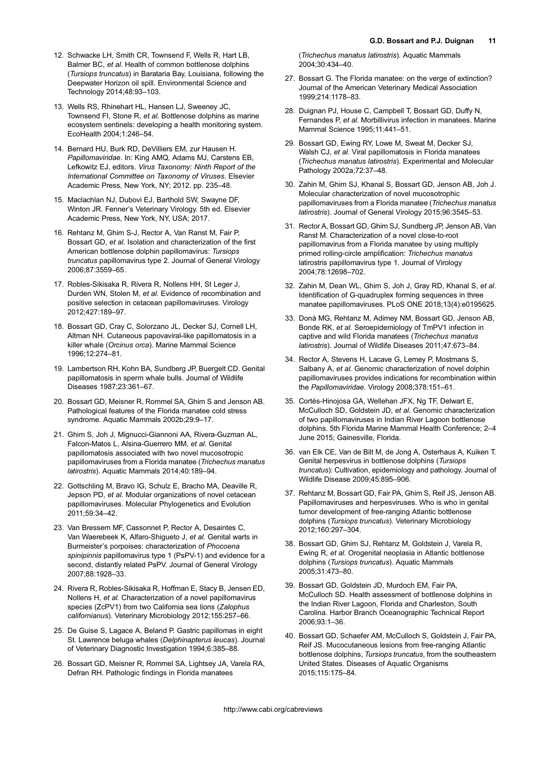- <span id="page-10-0"></span>12. Schwacke LH, Smith CR, Townsend F, Wells R, Hart LB, Balmer BC, et al. Health of common bottlenose dolphins (Tursiops truncatus) in Barataria Bay, Louisiana, following the Deepwater Horizon oil spill. Environmental Science and Technology 2014;48:93–103.
- 13. Wells RS, Rhinehart HL, Hansen LJ, Sweeney JC, Townsend FI, Stone R, et al. Bottlenose dolphins as marine ecosystem sentinels: developing a health monitoring system. EcoHealth 2004;1:246–54.
- 14. Bernard HU, Burk RD, DeVilliers EM, zur Hausen H. Papillomaviridae. In: King AMQ, Adams MJ, Carstens EB, Lefkowitz EJ, editors. Virus Taxonomy: Ninth Report of the International Committee on Taxonomy of Viruses. Elsevier Academic Press, New York, NY; 2012. pp. 235–48.
- 15. Maclachlan NJ, Dubovi EJ, Barthold SW, Swayne DF, Winton JR. Fenner's Veterinary Virology. 5th ed. Elsevier Academic Press, New York, NY, USA; 2017.
- 16. Rehtanz M, Ghim S-J, Rector A, Van Ranst M, Fair P, Bossart GD, et al. Isolation and characterization of the first American bottlenose dolphin papillomavirus: Tursiops truncatus papillomavirus type 2. Journal of General Virology 2006;87:3559–65.
- 17. Robles-Sikisaka R, Rivera R, Nollens HH, St Leger J, Durden WN, Stolen M, et al. Evidence of recombination and positive selection in cetacean papillomaviruses. Virology 2012;427:189–97.
- 18. Bossart GD, Cray C, Solorzano JL, Decker SJ, Cornell LH, Altman NH. Cutaneous papovaviral-like papillomatosis in a killer whale (Orcinus orca). Marine Mammal Science 1996;12:274–81.
- 19. Lambertson RH, Kohn BA, Sundberg JP, Buergelt CD. Genital papillomatosis in sperm whale bulls. Journal of Wildlife Diseases 1987;23:361–67.
- 20. Bossart GD, Meisner R, Rommel SA, Ghim S and Jenson AB. Pathological features of the Florida manatee cold stress syndrome. Aquatic Mammals 2002b;29:9–17.
- 21. Ghim S, Joh J, Mignucci-Giannoni AA, Rivera-Guzman AL, Falcon-Matos L, Alsina-Guerrero MM, et al. Genital papillomatosis associated with two novel mucosotropic papillomaviruses from a Florida manatee (Trichechus manatus latirostris). Aquatic Mammals 2014;40:189–94.
- 22. Gottschling M, Bravo IG, Schulz E, Bracho MA, Deaville R, Jepson PD, et al. Modular organizations of novel cetacean papillomaviruses. Molecular Phylogenetics and Evolution 2011;59:34–42.
- 23. Van Bressem MF, Cassonnet P, Rector A, Desaintes C, Van Waerebeek K, Alfaro-Shigueto J, et al. Genital warts in Burmeister's porpoises: characterization of Phocoena spinipinnis papillomavirus type 1 (PsPV-1) and evidence for a second, distantly related PsPV. Journal of General Virology 2007;88:1928–33.
- 24. Rivera R, Robles-Sikisaka R, Hoffman E, Stacy B, Jensen ED, Nollens H, et al. Characterization of a novel papillomavirus species (ZcPV1) from two California sea lions (Zalophus californianus). Veterinary Microbiology 2012;155:257–66.
- 25. De Guise S, Lagace A, Beland P. Gastric papillomas in eight St. Lawrence beluga whales (Delphinapterus leucas). Journal of Veterinary Diagnostic Investigation 1994;6:385–88.
- 26. Bossart GD, Meisner R, Rommel SA, Lightsey JA, Varela RA, Defran RH. Pathologic findings in Florida manatees

(Trichechus manatus latirostris). Aquatic Mammals 2004;30:434–40.

- 27. Bossart G. The Florida manatee: on the verge of extinction? Journal of the American Veterinary Medical Association 1999;214:1178–83.
- 28. Duignan PJ, House C, Campbell T, Bossart GD, Duffy N, Fernandes P, et al. Morbillivirus infection in manatees. Marine Mammal Science 1995;11:441–51.
- 29. Bossart GD, Ewing RY, Lowe M, Sweat M, Decker SJ, Walsh CJ, et al. Viral papillomatosis in Florida manatees (Trichechus manatus latirostris). Experimental and Molecular Pathology 2002a;72:37–48.
- 30. Zahin M, Ghim SJ, Khanal S, Bossart GD, Jenson AB, Joh J. Molecular characterization of novel mucosotrophic papillomaviruses from a Florida manatee (Trichechus manatus latirostris). Journal of General Virology 2015;96:3545–53.
- 31. Rector A, Bossart GD, Ghim SJ, Sundberg JP, Jenson AB, Van Ranst M. Characterization of a novel close-to-root papillomavirus from a Florida manatee by using multiply primed rolling-circle amplification: Trichechus manatus latirostris papillomavirus type 1. Journal of Virology 2004;78:12698–702.
- 32. Zahin M, Dean WL, Ghim S, Joh J, Gray RD, Khanal S, et al. Identification of G-quadruplex forming sequences in three manatee papillomaviruses. PLoS ONE 2018;13(4):e0195625.
- 33. Donà MG, Rehtanz M, Adimey NM, Bossart GD, Jenson AB, Bonde RK, et al. Seroepidemiology of TmPV1 infection in captive and wild Florida manatees (Trichechus manatus latirostris). Journal of Wildlife Diseases 2011;47:673–84.
- 34. Rector A, Stevens H, Lacave G, Lemey P, Mostmans S, Salbany A, et al. Genomic characterization of novel dolphin papillomaviruses provides indications for recombination within the Papillomaviridae. Virology 2008;378:151–61.
- 35. Cortés-Hinojosa GA, Wellehan JFX, Ng TF, Delwart E, McCulloch SD, Goldstein JD, et al. Genomic characterization of two papillomaviruses in Indian River Lagoon bottlenose dolphins. 5th Florida Marine Mammal Health Conference; 2–4 June 2015; Gainesville, Florida.
- 36. van Elk CE, Van de Bilt M, de Jong A, Osterhaus A, Kuiken T. Genital herpesvirus in bottlenose dolphins (Tursiops truncatus): Cultivation, epidemiology and pathology. Journal of Wildlife Disease 2009;45:895–906.
- 37. Rehtanz M, Bossart GD, Fair PA, Ghim S, Reif JS, Jenson AB. Papillomaviruses and herpesviruses. Who is who in genital tumor development of free-ranging Atlantic bottlenose dolphins (Tursiops truncatus). Veterinary Microbiology 2012;160:297–304.
- 38. Bossart GD, Ghim SJ, Rehtanz M, Goldstein J, Varela R, Ewing R, et al. Orogenital neoplasia in Atlantic bottlenose dolphins (Tursiops truncatus). Aquatic Mammals 2005;31:473–80.
- 39. Bossart GD, Goldstein JD, Murdoch EM, Fair PA, McCulloch SD. Health assessment of bottlenose dolphins in the Indian River Lagoon, Florida and Charleston, South Carolina. Harbor Branch Oceanographic Technical Report 2006;93:1–36.
- 40. Bossart GD, Schaefer AM, McCulloch S, Goldstein J, Fair PA, Reif JS. Mucocutaneous lesions from free-ranging Atlantic bottlenose dolphins, Tursiops truncatus, from the southeastern United States. Diseases of Aquatic Organisms 2015;115:175–84.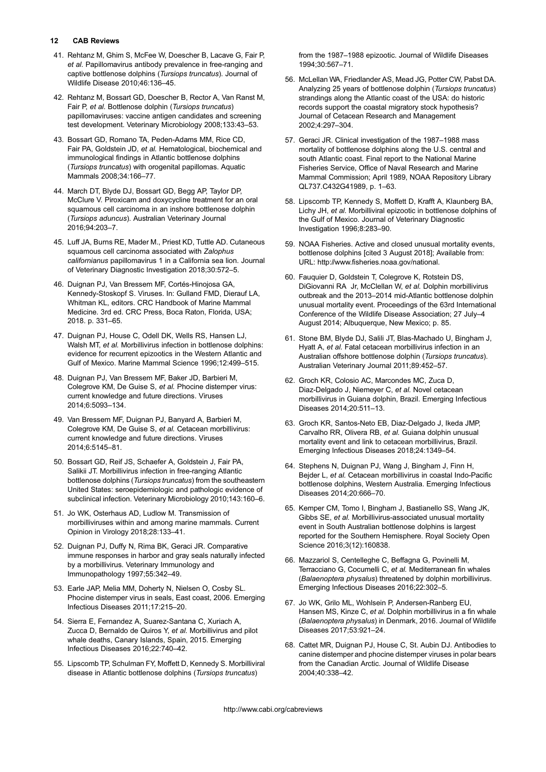- <span id="page-11-0"></span>41. Rehtanz M, Ghim S, McFee W, Doescher B, Lacave G, Fair P, et al. Papillomavirus antibody prevalence in free-ranging and captive bottlenose dolphins (Tursiops truncatus). Journal of Wildlife Disease 2010;46:136–45.
- 42. Rehtanz M, Bossart GD, Doescher B, Rector A, Van Ranst M, Fair P, et al. Bottlenose dolphin (Tursiops truncatus) papillomaviruses: vaccine antigen candidates and screening test development. Veterinary Microbiology 2008;133:43–53.
- 43. Bossart GD, Romano TA, Peden-Adams MM, Rice CD, Fair PA, Goldstein JD, et al. Hematological, biochemical and immunological findings in Atlantic bottlenose dolphins (Tursiops truncatus) with orogenital papillomas. Aquatic Mammals 2008;34:166–77.
- 44. March DT, Blyde DJ, Bossart GD, Begg AP, Taylor DP, McClure V. Piroxicam and doxycycline treatment for an oral squamous cell carcinoma in an inshore bottlenose dolphin (Tursiops aduncus). Australian Veterinary Journal 2016;94:203–7.
- 45. Luff JA, Burns RE, Mader M., Priest KD, Tuttle AD. Cutaneous squamous cell carcinoma associated with Zalophus californianus papillomavirus 1 in a California sea lion. Journal of Veterinary Diagnostic Investigation 2018;30:572–5.
- 46. Duignan PJ, Van Bressem MF, Cortés-Hinojosa GA, Kennedy-Stoskopf S. Viruses. In: Gulland FMD, Dierauf LA, Whitman KL, editors. CRC Handbook of Marine Mammal Medicine. 3rd ed. CRC Press, Boca Raton, Florida, USA; 2018. p. 331–65.
- 47. Duignan PJ, House C, Odell DK, Wells RS, Hansen LJ, Walsh MT, et al. Morbillivirus infection in bottlenose dolphins: evidence for recurrent epizootics in the Western Atlantic and Gulf of Mexico. Marine Mammal Science 1996;12:499–515.
- 48. Duignan PJ, Van Bressem MF, Baker JD, Barbieri M, Colegrove KM, De Guise S, et al. Phocine distemper virus: current knowledge and future directions. Viruses 2014;6:5093–134.
- 49. Van Bressem MF, Duignan PJ, Banyard A, Barbieri M, Colegrove KM, De Guise S, et al. Cetacean morbillivirus: current knowledge and future directions. Viruses 2014;6:5145–81.
- 50. Bossart GD, Reif JS, Schaefer A, Goldstein J, Fair PA, Salikii JT. Morbillivirus infection in free-ranging Atlantic bottlenose dolphins (Tursiops truncatus) from the southeastern United States: seroepidemiologic and pathologic evidence of subclinical infection. Veterinary Microbiology 2010;143:160–6.
- 51. Jo WK, Osterhaus AD, Ludlow M. Transmission of morbilliviruses within and among marine mammals. Current Opinion in Virology 2018;28:133–41.
- 52. Duignan PJ, Duffy N, Rima BK, Geraci JR. Comparative immune responses in harbor and gray seals naturally infected by a morbillivirus. Veterinary Immunology and Immunopathology 1997;55:342–49.
- 53. Earle JAP, Melia MM, Doherty N, Nielsen O, Cosby SL. Phocine distemper virus in seals, East coast, 2006. Emerging Infectious Diseases 2011;17:215–20.
- 54. Sierra E, Fernandez A, Suarez-Santana C, Xuriach A, Zucca D, Bernaldo de Quiros Y, et al. Morbillivirus and pilot whale deaths, Canary Islands, Spain, 2015. Emerging Infectious Diseases 2016;22:740–42.
- 55. Lipscomb TP, Schulman FY, Moffett D, Kennedy S. Morbilliviral disease in Atlantic bottlenose dolphins (Tursiops truncatus)

from the 1987–1988 epizootic. Journal of Wildlife Diseases 1994;30:567–71.

- 56. McLellan WA, Friedlander AS, Mead JG, Potter CW, Pabst DA. Analyzing 25 years of bottlenose dolphin (Tursiops truncatus) strandings along the Atlantic coast of the USA: do historic records support the coastal migratory stock hypothesis? Journal of Cetacean Research and Management 2002;4:297–304.
- 57. Geraci JR. Clinical investigation of the 1987–1988 mass mortality of bottlenose dolphins along the U.S. central and south Atlantic coast. Final report to the National Marine Fisheries Service, Office of Naval Research and Marine Mammal Commission; April 1989, NOAA Repository Library QL737.C432G41989, p. 1–63.
- 58. Lipscomb TP, Kennedy S, Moffett D, Krafft A, Klaunberg BA, Lichy JH, et al. Morbilliviral epizootic in bottlenose dolphins of the Gulf of Mexico. Journal of Veterinary Diagnostic Investigation 1996;8:283–90.
- 59. NOAA Fisheries. Active and closed unusual mortality events, bottlenose dolphins [cited 3 August 2018]; Available from: URL:<http://www.fisheries.noaa.gov/national>.
- 60. Fauquier D, Goldstein T, Colegrove K, Rotstein DS, DiGiovanni RA Jr, McClellan W, et al. Dolphin morbillivirus outbreak and the 2013–2014 mid-Atlantic bottlenose dolphin unusual mortality event. Proceedings of the 63rd International Conference of the Wildlife Disease Association; 27 July–4 August 2014; Albuquerque, New Mexico; p. 85.
- 61. Stone BM, Blyde DJ, Salili JT, Blas-Machado U, Bingham J, Hyatt A, et al. Fatal cetacean morbillivirus infection in an Australian offshore bottlenose dolphin (Tursiops truncatus). Australian Veterinary Journal 2011;89:452–57.
- 62. Groch KR, Colosio AC, Marcondes MC, Zuca D, Diaz-Delgado J, Niemeyer C, et al. Novel cetacean morbillivirus in Guiana dolphin, Brazil. Emerging Infectious Diseases 2014;20:511–13.
- 63. Groch KR, Santos-Neto EB, Diaz-Delgado J, Ikeda JMP, Carvalho RR, Olivera RB, et al. Guiana dolphin unusual mortality event and link to cetacean morbillivirus, Brazil. Emerging Infectious Diseases 2018;24:1349–54.
- 64. Stephens N, Duignan PJ, Wang J, Bingham J, Finn H, Bejder L, et al. Cetacean morbillivirus in coastal Indo-Pacific bottlenose dolphins, Western Australia. Emerging Infectious Diseases 2014;20:666–70.
- 65. Kemper CM, Tomo I, Bingham J, Bastianello SS, Wang JK, Gibbs SE, et al. Morbillivirus-associated unusual mortality event in South Australian bottlenose dolphins is largest reported for the Southern Hemisphere. Royal Society Open Science 2016;3(12):160838.
- 66. Mazzariol S, Centelleghe C, Beffagna G, Povinelli M, Terracciano G, Cocumelli C, et al. Mediterranean fin whales (Balaenoptera physalus) threatened by dolphin morbillivirus. Emerging Infectious Diseases 2016;22:302–5.
- 67. Jo WK, Grilo ML, Wohlsein P, Andersen-Ranberg EU, Hansen MS, Kinze C, et al. Dolphin morbillivirus in a fin whale (Balaenoptera physalus) in Denmark, 2016. Journal of Wildlife Diseases 2017;53:921–24.
- 68. Cattet MR, Duignan PJ, House C, St. Aubin DJ. Antibodies to canine distemper and phocine distemper viruses in polar bears from the Canadian Arctic. Journal of Wildlife Disease 2004;40:338–42.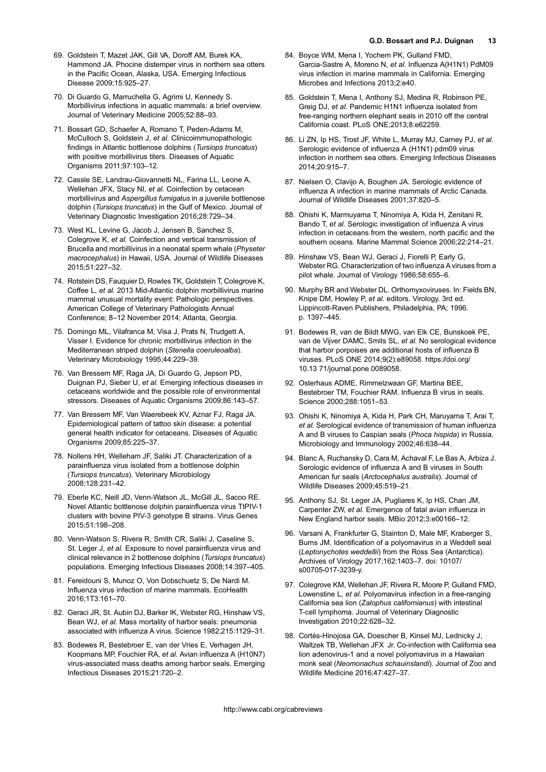- <span id="page-12-0"></span>69. Goldstein T, Mazet JAK, Gill VA, Doroff AM, Burek KA, Hammond JA. Phocine distemper virus in northern sea otters in the Pacific Ocean, Alaska, USA. Emerging Infectious Disease 2009;15:925–27.
- 70. Di Guardo G, Marruchella G, Agrimi U, Kennedy S. Morbillivirus infections in aquatic mammals: a brief overview. Journal of Veterinary Medicine 2005;52:88–93.
- 71. Bossart GD, Schaefer A, Romano T, Peden-Adams M, McCulloch S, Goldstein J, et al. Clinicoimmunopathologic findings in Atlantic bottlenose dolphins (Tursiops truncatus) with positive morbillivirus titers. Diseases of Aquatic Organisms 2011;97:103–12.
- 72. Cassle SE, Landrau-Giovannetti NL, Farina LL, Leone A, Wellehan JFX, Stacy NI, et al. Coinfection by cetacean morbillivirus and Aspergillus fumigatus in a juvenile bottlenose dolphin (Tursiops truncatus) in the Gulf of Mexico. Journal of Veterinary Diagnostic Investigation 2016;28:729–34.
- 73. West KL, Levine G, Jacob J, Jensen B, Sanchez S, Colegrove K, et al. Coinfection and vertical transmission of Brucella and morbillivirus in a neonatal sperm whale (Physeter macrocephalus) in Hawaii, USA. Journal of Wildlife Diseases 2015;51:227–32.
- 74. Rotstein DS, Fauquier D, Rowles TK, Goldstein T, Colegrove K, Coffee L, et al. 2013 Mid-Atlantic dolphin morbillivirus marine mammal unusual mortality event: Pathologic perspectives. American College of Veterinary Pathologists Annual Conference; 8–12 November 2014; Atlanta, Georgia.
- 75. Domingo ML, Vilafranca M, Visa J, Prats N, Trudgett A, Visser I. Evidence for chronic morbillivirus infection in the Mediterranean striped dolphin (Stenella coeruleoalba). Veterinary Microbiology 1995;44:229–39.
- 76. Van Bressem MF, Raga JA, Di Guardo G, Jepson PD, Duignan PJ, Sieber U, et al. Emerging infectious diseases in cetaceans worldwide and the possible role of environmental stressors. Diseases of Aquatic Organisms 2009;86:143–57.
- 77. Van Bressem MF, Van Waerebeek KV, Aznar FJ, Raga JA. Epidemiological pattern of tattoo skin disease: a potential general health indicator for cetaceans. Diseases of Aquatic Organisms 2009;85:225–37.
- 78. Nollens HH, Welleham JF, Saliki JT. Characterization of a parainfluenza virus isolated from a bottlenose dolphin (Tursiops truncatus). Veterinary Microbiology 2008;128:231–42.
- 79. Eberle KC, Neill JD, Venn-Watson JL, McGill JL, Sacoo RE. Novel Atlantic bottlenose dolphin parainfluenza virus TtPIV-1 clusters with bovine PIV-3 genotype B strains. Virus Genes 2015;51:198–208.
- 80. Venn-Watson S, Rivera R, Smith CR, Saliki J, Caseline S, St. Leger J, et al. Exposure to novel parainfluenza virus and clinical relevance in 2 bottlenose dolphins (Tursiops truncatus) populations. Emerging Infectious Diseases 2008;14:397–405.
- 81. Fereidouni S, Munoz O, Von Dobschuetz S, De Nardi M. Influenza virus infection of marine mammals. EcoHealth 2016;1T3:161–70.
- 82. Geraci JR, St. Aubin DJ, Barker IK, Webster RG, Hinshaw VS, Bean WJ, et al. Mass mortality of harbor seals: pneumonia associated with influenza A virus. Science 1982;215:1129–31.
- 83. Bodewes R, Bestebroer E, van der Vries E, Verhagen JH, Koopmans MP, Fouchier RA, et al. Avian influenza A (H10N7) virus-associated mass deaths among harbor seals. Emerging Infectious Diseases 2015;21:720–2.
- 84. Boyce WM, Mena I, Yochem PK, Gulland FMD, Garcia-Sastre A, Moreno N, et al. Influenza A(H1N1) PdM09 virus infection in marine mammals in California. Emerging Microbes and Infections 2013;2:e40.
- 85. Goldstein T, Mena I, Anthony SJ, Medina R, Robinson PE, Greig DJ, et al. Pandemic H1N1 influenza isolated from free-ranging northern elephant seals in 2010 off the central California coast. PLoS ONE;2013;8:e62259.
- 86. Li ZN, Ip HS, Trost JF, White L, Murray MJ, Carney PJ, et al. Serologic evidence of influenza A (H1N1) pdm09 virus infection in northern sea otters. Emerging Infectious Diseases 2014;20:915–7.
- 87. Nielsen O, Clavijo A, Boughen JA. Serologic evidence of influenza A infection in marine mammals of Arctic Canada. Journal of Wildlife Diseases 2001;37:820–5.
- 88. Ohishi K, Marmuyama T, Ninomiya A, Kida H, Zenitani R, Bando T, et al. Serologic investigation of influenza A virus infection in cetaceans from the western, north pacific and the southern oceans. Marine Mammal Science 2006;22:214–21.
- 89. Hinshaw VS, Bean WJ, Geraci J, Fiorelli P, Early G, Webster RG. Characterization of two influenza A viruses from a pilot whale. Journal of Virology 1986;58:655–6.
- 90. Murphy BR and Webster DL. Orthomyxoviruses. In: Fields BN, Knipe DM, Howley P, et al. editors. Virology. 3rd ed. Lippincott-Raven Publishers, Philadelphia, PA; 1996. p. 1397–445.
- 91. Bodewes R, van de Bildt MWG, van Elk CE, Bunskoek PE, van de Vijver DAMC, Smits SL, et al. No serological evidence that harbor porpoises are additional hosts of influenza B viruses. PLoS ONE 2014;9(2):e89058. [https://doi.org/](https://doi.org/10.13 71/journal.pone.0089058) [10.13 71/journal.pone.0089058](https://doi.org/10.13 71/journal.pone.0089058).
- 92. Osterhaus ADME, Rimmelzwaan GF, Martina BEE, Bestebroer TM, Fouchier RAM. Influenza B virus in seals. Science 2000;288:1051–53.
- 93. Ohishi K, Ninomiya A, Kida H, Park CH, Maruyama T, Arai T, et al. Serological evidence of transmission of human influenza A and B viruses to Caspian seals (Phoca hispida) in Russia. Microbiology and Immunology 2002;46:638–44.
- 94. Blanc A, Ruchansky D, Cara M, Achaval F, Le Bas A, Arbiza J. Serologic evidence of influenza A and B viruses in South American fur seals (Arctocephalus australis). Journal of Wildlife Diseases 2009;45:519–21.
- 95. Anthony SJ, St. Leger JA, Pugliares K, Ip HS, Chan JM, Carpenter ZW, et al. Emergence of fatal avian influenza in New England harbor seals. MBio 2012;3:e00166–12.
- 96. Varsani A, Frankfurter G, Stainton D, Male MF, Kraberger S, Burns JM. Identification of a polyomavirus in a Weddell seal (Leptonychotes weddellii) from the Ross Sea (Antarctica). Archives of Virology 2017;162:1403–7. doi: 10107/ s00705-017-3239-y.
- 97. Colegrove KM, Wellehan JF, Rivera R, Moore P, Gulland FMD, Lowenstine L, et al. Polyomavirus infection in a free-ranging California sea lion (Zalophus californianus) with intestinal T-cell lymphoma. Journal of Veterinary Diagnostic Investigation 2010;22:628–32.
- 98. Cortés-Hinojosa GA, Doescher B, Kinsel MJ, Lednicky J, Waltzek TB, Wellehan JFX Jr. Co-infection with California sea lion adenovirus-1 and a novel polyomavirus in a Hawaiian monk seal (Neomonachus schauinslandi). Journal of Zoo and Wildlife Medicine 2016;47:427–37.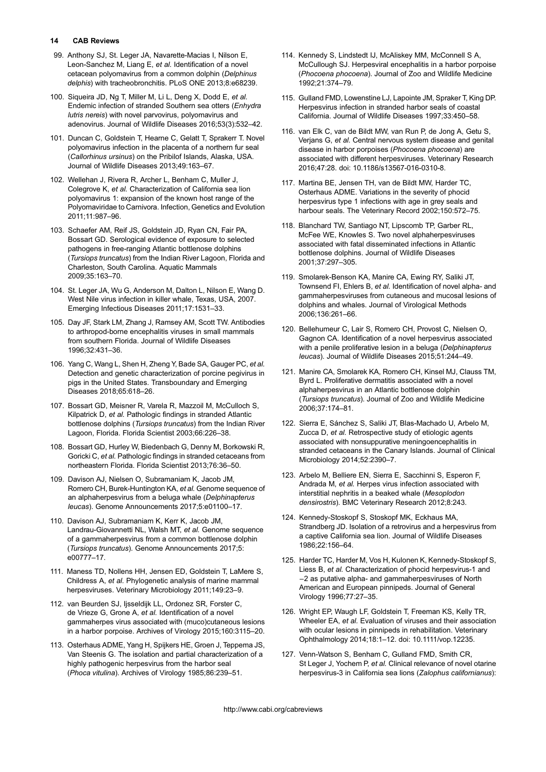- <span id="page-13-0"></span>99. Anthony SJ, St. Leger JA, Navarette-Macias I, Nilson E, Leon-Sanchez M, Liang E, et al. Identification of a novel cetacean polyomavirus from a common dolphin (Delphinus delphis) with tracheobronchitis. PLoS ONE 2013;8:e68239.
- 100. Siqueira JD, Ng T, Miller M, Li L, Deng X, Dodd E, et al. Endemic infection of stranded Southern sea otters (Enhydra lutris nereis) with novel parvovirus, polyomavirus and adenovirus. Journal of Wildlife Diseases 2016;53(3):532–42.
- 101. Duncan C, Goldstein T, Hearne C, Gelatt T, Sprakerr T. Novel polyomavirus infection in the placenta of a northern fur seal (Callorhinus ursinus) on the Pribilof Islands, Alaska, USA. Journal of Wildlife Diseases 2013;49:163–67.
- 102. Wellehan J, Rivera R, Archer L, Benham C, Muller J, Colegrove K, et al. Characterization of California sea lion polyomavirus 1: expansion of the known host range of the Polyomaviridae to Carnivora. Infection, Genetics and Evolution 2011;11:987–96.
- 103. Schaefer AM, Reif JS, Goldstein JD, Ryan CN, Fair PA, Bossart GD. Serological evidence of exposure to selected pathogens in free-ranging Atlantic bottlenose dolphins (Tursiops truncatus) from the Indian River Lagoon, Florida and Charleston, South Carolina. Aquatic Mammals 2009;35:163–70.
- 104. St. Leger JA, Wu G, Anderson M, Dalton L, Nilson E, Wang D. West Nile virus infection in killer whale, Texas, USA, 2007. Emerging Infectious Diseases 2011;17:1531–33.
- 105. Day JF, Stark LM, Zhang J, Ramsey AM, Scott TW. Antibodies to arthropod-borne encephalitis viruses in small mammals from southern Florida. Journal of Wildlife Diseases 1996;32:431–36.
- 106. Yang C, Wang L, Shen H, Zheng Y, Bade SA, Gauger PC, et al. Detection and genetic characterization of porcine pegivirus in pigs in the United States. Transboundary and Emerging Diseases 2018;65:618–26.
- 107. Bossart GD, Meisner R, Varela R, Mazzoil M, McCulloch S, Kilpatrick D, et al. Pathologic findings in stranded Atlantic bottlenose dolphins (Tursiops truncatus) from the Indian River Lagoon, Florida. Florida Scientist 2003;66:226–38.
- 108. Bossart GD, Hurley W, Biedenbach G, Denny M, Borkowski R, Goricki C, et al. Pathologic findings in stranded cetaceans from northeastern Florida. Florida Scientist 2013;76:36–50.
- 109. Davison AJ, Nielsen O, Subramaniam K, Jacob JM, Romero CH, Burek-Huntington KA, et al. Genome sequence of an alphaherpesvirus from a beluga whale (Delphinapterus leucas). Genome Announcements 2017;5:e01100–17.
- 110. Davison AJ, Subramaniam K, Kerr K, Jacob JM, Landrau-Giovannetti NL, Walsh MT, et al. Genome sequence of a gammaherpesvirus from a common bottlenose dolphin (Tursiops truncatus). Genome Announcements 2017;5: e00777–17.
- 111. Maness TD, Nollens HH, Jensen ED, Goldstein T, LaMere S, Childress A, et al. Phylogenetic analysis of marine mammal herpesviruses. Veterinary Microbiology 2011;149:23–9.
- 112. van Beurden SJ, Ijsseldijk LL, Ordonez SR, Forster C, de Vrieze G, Grone A, et al. Identification of a novel gammaherpes virus associated with (muco)cutaneous lesions in a harbor porpoise. Archives of Virology 2015;160:3115–20.
- 113. Osterhaus ADME, Yang H, Spijkers HE, Groen J, Teppema JS, Van Steenis G. The isolation and partial characterization of a highly pathogenic herpesvirus from the harbor seal (Phoca vitulina). Archives of Virology 1985;86:239–51.
- 114. Kennedy S, Lindstedt IJ, McAliskey MM, McConnell S A, McCullough SJ. Herpesviral encephalitis in a harbor porpoise (Phocoena phocoena). Journal of Zoo and Wildlife Medicine 1992;21:374–79.
- 115. Gulland FMD, Lowenstine LJ, Lapointe JM, Spraker T, King DP. Herpesvirus infection in stranded harbor seals of coastal California. Journal of Wildlife Diseases 1997;33:450–58.
- 116. van Elk C, van de Bildt MW, van Run P, de Jong A, Getu S, Verjans G, et al. Central nervous system disease and genital disease in harbor porpoises (Phocoena phocoena) are associated with different herpesviruses. Veterinary Research 2016;47:28. doi: 10.1186/s13567-016-0310-8.
- 117. Martina BE, Jensen TH, van de Bildt MW, Harder TC, Osterhaus ADME. Variations in the severity of phocid herpesvirus type 1 infections with age in grey seals and harbour seals. The Veterinary Record 2002;150:572–75.
- 118. Blanchard TW, Santiago NT, Lipscomb TP, Garber RL, McFee WE, Knowles S. Two novel alphaherpesviruses associated with fatal disseminated infections in Atlantic bottlenose dolphins. Journal of Wildlife Diseases 2001;37:297–305.
- 119. Smolarek-Benson KA, Manire CA, Ewing RY, Saliki JT, Townsend FI, Ehlers B, et al. Identification of novel alpha- and gammaherpesviruses from cutaneous and mucosal lesions of dolphins and whales. Journal of Virological Methods 2006;136:261–66.
- 120. Bellehumeur C, Lair S, Romero CH, Provost C, Nielsen O, Gagnon CA. Identification of a novel herpesvirus associated with a penile proliferative lesion in a beluga (Delphinapterus leucas). Journal of Wildlife Diseases 2015;51:244–49.
- 121. Manire CA, Smolarek KA, Romero CH, Kinsel MJ, Clauss TM, Byrd L. Proliferative dermatitis associated with a novel alphaherpesvirus in an Atlantic bottlenose dolphin (Tursiops truncatus). Journal of Zoo and Wildlife Medicine 2006;37:174–81.
- 122. Sierra E, Sánchez S, Saliki JT, Blas-Machado U, Arbelo M, Zucca D, et al. Retrospective study of etiologic agents associated with nonsuppurative meningoencephalitis in stranded cetaceans in the Canary Islands. Journal of Clinical Microbiology 2014;52:2390–7.
- 123. Arbelo M, Belliere EN, Sierra E, Sacchinni S, Esperon F, Andrada M, et al. Herpes virus infection associated with interstitial nephritis in a beaked whale (Mesoplodon densirostris). BMC Veterinary Research 2012;8:243.
- 124. Kennedy-Stoskopf S, Stoskopf MK, Eckhaus MA, Strandberg JD. Isolation of a retrovirus and a herpesvirus from a captive California sea lion. Journal of Wildlife Diseases 1986;22:156–64.
- 125. Harder TC, Harder M, Vos H, Kulonen K, Kennedy-Stoskopf S, Liess B, et al. Characterization of phocid herpesvirus-1 and −2 as putative alpha- and gammaherpesviruses of North American and European pinnipeds. Journal of General Virology 1996;77:27–35.
- 126. Wright EP, Waugh LF, Goldstein T, Freeman KS, Kelly TR, Wheeler EA, et al. Evaluation of viruses and their association with ocular lesions in pinnipeds in rehabilitation. Veterinary Ophthalmology 2014;18:1–12. doi: 10.1111/vop.12235.
- 127. Venn-Watson S, Benham C, Gulland FMD, Smith CR, St Leger J, Yochem P, et al. Clinical relevance of novel otarine herpesvirus-3 in California sea lions (Zalophus californianus):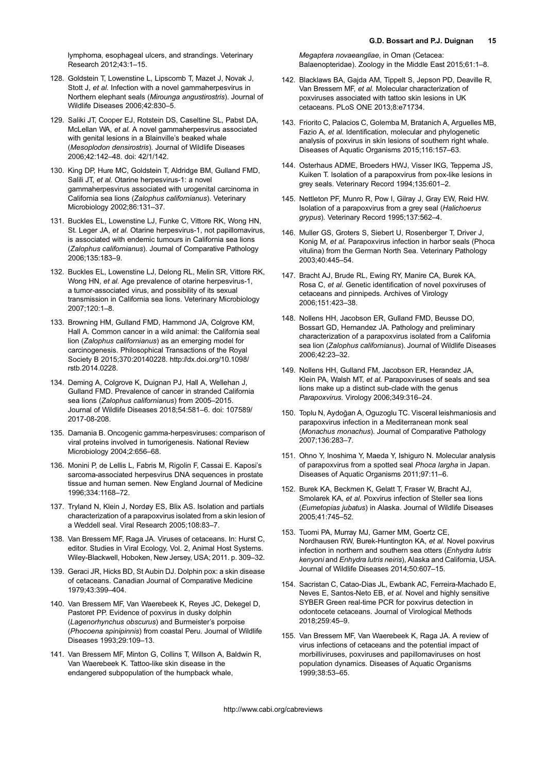<span id="page-14-0"></span>lymphoma, esophageal ulcers, and strandings. Veterinary Research 2012;43:1–15.

- 128. Goldstein T, Lowenstine L, Lipscomb T, Mazet J, Novak J, Stott J, et al. Infection with a novel gammaherpesvirus in Northern elephant seals (Mirounga angustirostris). Journal of Wildlife Diseases 2006;42:830–5.
- 129. Saliki JT, Cooper EJ, Rotstein DS, Caseltine SL, Pabst DA, McLellan WA, et al. A novel gammaherpesvirus associated with genital lesions in a Blainville's beaked whale (Mesoplodon densirostris). Journal of Wildlife Diseases 2006;42:142–48. doi: 42/1/142.
- 130. King DP, Hure MC, Goldstein T, Aldridge BM, Gulland FMD, Salili JT, et al. Otarine herpesvirus-1: a novel gammaherpesvirus associated with urogenital carcinoma in California sea lions (Zalophus californianus). Veterinary Microbiology 2002;86:131–37.
- 131. Buckles EL, Lowenstine LJ, Funke C, Vittore RK, Wong HN, St. Leger JA, et al. Otarine herpesvirus-1, not papillomavirus, is associated with endemic tumours in California sea lions (Zalophus californianus). Journal of Comparative Pathology 2006;135:183–9.
- 132. Buckles EL, Lowenstine LJ, Delong RL, Melin SR, Vittore RK, Wong HN, et al. Age prevalence of otarine herpesvirus-1, a tumor-associated virus, and possibility of its sexual transmission in California sea lions. Veterinary Microbiology 2007;120:1–8.
- 133. Browning HM, Gulland FMD, Hammond JA, Colgrove KM, Hall A. Common cancer in a wild animal: the California seal lion (Zalophus californianus) as an emerging model for carcinogenesis. Philosophical Transactions of the Royal Society B 2015;370:20140228. [http://dx.doi.org/10.1098/](http://dx.doi.org/10.1098/rstb.2014.0228) [rstb.2014.0228](http://dx.doi.org/10.1098/rstb.2014.0228).
- 134. Deming A, Colgrove K, Duignan PJ, Hall A, Wellehan J, Gulland FMD. Prevalence of cancer in stranded California sea lions (Zalophus californianus) from 2005–2015. Journal of Wildlife Diseases 2018;54:581–6. doi: 107589/ 2017-08-208.
- 135. Damania B. Oncogenic gamma-herpesviruses: comparison of viral proteins involved in tumorigenesis. National Review Microbiology 2004;2:656–68.
- 136. Monini P, de Lellis L, Fabris M, Rigolin F, Cassai E. Kaposi's sarcoma-associated herpesvirus DNA sequences in prostate tissue and human semen. New England Journal of Medicine 1996;334:1168–72.
- 137. Tryland N, Klein J, Nordøy ES, Blix AS. Isolation and partials characterization of a parapoxvirus isolated from a skin lesion of a Weddell seal. Viral Research 2005;108:83–7.
- 138. Van Bressem MF, Raga JA. Viruses of cetaceans. In: Hurst C, editor. Studies in Viral Ecology, Vol. 2, Animal Host Systems. Wiley-Blackwell, Hoboken, New Jersey, USA; 2011. p. 309–32.
- 139. Geraci JR, Hicks BD, St Aubin DJ. Dolphin pox: a skin disease of cetaceans. Canadian Journal of Comparative Medicine 1979;43:399–404.
- 140. Van Bressem MF, Van Waerebeek K, Reyes JC, Dekegel D, Pastoret PP. Evidence of poxvirus in dusky dolphin (Lagenorhynchus obscurus) and Burmeister's porpoise (Phocoena spinipinnis) from coastal Peru. Journal of Wildlife Diseases 1993;29:109–13.
- 141. Van Bressem MF, Minton G, Collins T, Willson A, Baldwin R, Van Waerebeek K. Tattoo-like skin disease in the endangered subpopulation of the humpback whale,

Megaptera novaeangliae, in Oman (Cetacea: Balaenopteridae). Zoology in the Middle East 2015;61:1–8.

- 142. Blacklaws BA, Gajda AM, Tippelt S, Jepson PD, Deaville R, Van Bressem MF, et al. Molecular characterization of poxviruses associated with tattoo skin lesions in UK cetaceans. PLoS ONE 2013;8:e71734.
- 143. Friorito C, Palacios C, Golemba M, Bratanich A, Arguelles MB, Fazio A, et al. Identification, molecular and phylogenetic analysis of poxvirus in skin lesions of southern right whale. Diseases of Aquatic Organisms 2015;116:157–63.
- 144. Osterhaus ADME, Broeders HWJ, Visser IKG, Teppema JS, Kuiken T. Isolation of a parapoxvirus from pox-like lesions in grey seals. Veterinary Record 1994;135:601–2.
- 145. Nettleton PF, Munro R, Pow I, Gilray J, Gray EW, Reid HW. Isolation of a parapoxvirus from a grey seal (Halichoerus grypus). Veterinary Record 1995;137:562–4.
- 146. Muller GS, Groters S, Siebert U, Rosenberger T, Driver J, Konig M, et al. Parapoxvirus infection in harbor seals (Phoca vitulina) from the German North Sea. Veterinary Pathology 2003;40:445–54.
- 147. Bracht AJ, Brude RL, Ewing RY, Manire CA, Burek KA, Rosa C, et al. Genetic identification of novel poxviruses of cetaceans and pinnipeds. Archives of Virology 2006;151:423–38.
- 148. Nollens HH, Jacobson ER, Gulland FMD, Beusse DO, Bossart GD, Hernandez JA. Pathology and preliminary characterization of a parapoxvirus isolated from a California sea lion (Zalophus californianus). Journal of Wildlife Diseases 2006;42:23–32.
- 149. Nollens HH, Gulland FM, Jacobson ER, Herandez JA, Klein PA, Walsh MT, et al. Parapoxviruses of seals and sea lions make up a distinct sub-clade with the genus Parapoxvirus. Virology 2006;349:316–24.
- 150. Toplu N, Aydoğan A, Oguzoglu TC. Visceral leishmaniosis and parapoxvirus infection in a Mediterranean monk seal (Monachus monachus). Journal of Comparative Pathology 2007;136:283–7.
- 151. Ohno Y, Inoshima Y, Maeda Y, Ishiguro N. Molecular analysis of parapoxvirus from a spotted seal Phoca largha in Japan. Diseases of Aquatic Organisms 2011;97:11–6.
- 152. Burek KA, Beckmen K, Gelatt T, Fraser W, Bracht AJ, Smolarek KA, et al. Poxvirus infection of Steller sea lions (Eumetopias jubatus) in Alaska. Journal of Wildlife Diseases 2005;41:745–52.
- 153. Tuomi PA, Murray MJ, Garner MM, Goertz CE, Nordhausen RW, Burek-Huntington KA, et al. Novel poxvirus infection in northern and southern sea otters (Enhydra lutris kenyoni and Enhydra lutris neiris), Alaska and California, USA. Journal of Wildlife Diseases 2014;50:607–15.
- 154. Sacristan C, Catao-Dias JL, Ewbank AC, Ferreira-Machado E, Neves E, Santos-Neto EB, et al. Novel and highly sensitive SYBER Green real-time PCR for poxvirus detection in odontocete cetaceans. Journal of Virological Methods 2018;259:45–9.
- 155. Van Bressem MF, Van Waerebeek K, Raga JA. A review of virus infections of cetaceans and the potential impact of morbilliviruses, poxviruses and papillomaviruses on host population dynamics. Diseases of Aquatic Organisms 1999;38:53–65.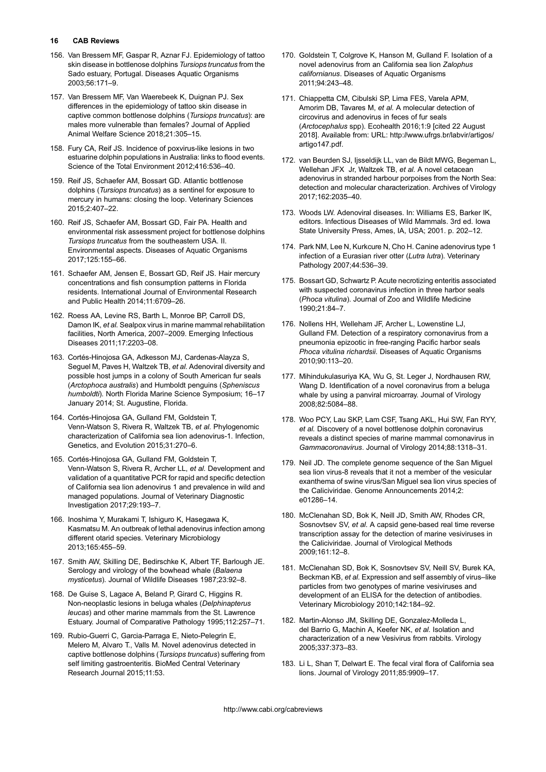- <span id="page-15-0"></span>156. Van Bressem MF, Gaspar R, Aznar FJ. Epidemiology of tattoo skin disease in bottlenose dolphins Tursiops truncatus from the Sado estuary, Portugal. Diseases Aquatic Organisms 2003;56:171–9.
- 157. Van Bressem MF, Van Waerebeek K, Duignan PJ. Sex differences in the epidemiology of tattoo skin disease in captive common bottlenose dolphins (Tursiops truncatus): are males more vulnerable than females? Journal of Applied Animal Welfare Science 2018;21:305–15.
- 158. Fury CA, Reif JS. Incidence of poxvirus-like lesions in two estuarine dolphin populations in Australia: links to flood events. Science of the Total Environment 2012;416:536–40.
- 159. Reif JS, Schaefer AM, Bossart GD. Atlantic bottlenose dolphins (Tursiops truncatus) as a sentinel for exposure to mercury in humans: closing the loop. Veterinary Sciences 2015;2:407–22.
- 160. Reif JS, Schaefer AM, Bossart GD, Fair PA. Health and environmental risk assessment project for bottlenose dolphins Tursiops truncatus from the southeastern USA. II. Environmental aspects. Diseases of Aquatic Organisms 2017;125:155–66.
- 161. Schaefer AM, Jensen E, Bossart GD, Reif JS. Hair mercury concentrations and fish consumption patterns in Florida residents. International Journal of Environmental Research and Public Health 2014;11:6709–26.
- 162. Roess AA, Levine RS, Barth L, Monroe BP, Carroll DS, Damon IK, et al. Sealpox virus in marine mammal rehabilitation facilities, North America, 2007–2009. Emerging Infectious Diseases 2011;17:2203–08.
- 163. Cortés-Hinojosa GA, Adkesson MJ, Cardenas-Alayza S, Seguel M, Paves H, Waltzek TB, et al. Adenoviral diversity and possible host jumps in a colony of South American fur seals (Arctophoca australis) and Humboldt penguins (Spheniscus humboldti). North Florida Marine Science Symposium; 16–17 January 2014; St. Augustine, Florida.
- 164. Cortés-Hinojosa GA, Gulland FM, Goldstein T, Venn-Watson S, Rivera R, Waltzek TB, et al. Phylogenomic characterization of California sea lion adenovirus-1. Infection, Genetics, and Evolution 2015;31:270–6.
- 165. Cortés-Hinojosa GA, Gulland FM, Goldstein T, Venn-Watson S, Rivera R, Archer LL, et al. Development and validation of a quantitative PCR for rapid and specific detection of California sea lion adenovirus 1 and prevalence in wild and managed populations. Journal of Veterinary Diagnostic Investigation 2017;29:193–7.
- 166. Inoshima Y, Murakami T, Ishiguro K, Hasegawa K, Kasmatsu M. An outbreak of lethal adenovirus infection among different otarid species. Veterinary Microbiology 2013;165:455–59.
- 167. Smith AW, Skilling DE, Bedirschke K, Albert TF, Barlough JE. Serology and virology of the bowhead whale (Balaena mysticetus). Journal of Wildlife Diseases 1987:23:92-8.
- 168. De Guise S, Lagace A, Beland P, Girard C, Higgins R. Non-neoplastic lesions in beluga whales (Delphinapterus leucas) and other marine mammals from the St. Lawrence Estuary. Journal of Comparative Pathology 1995;112:257–71.
- 169. Rubio-Guerri C, Garcia-Parraga E, Nieto-Pelegrin E, Melero M, Alvaro T., Valls M. Novel adenovirus detected in captive bottlenose dolphins (Tursiops truncatus) suffering from self limiting gastroenteritis. BioMed Central Veterinary Research Journal 2015;11:53.
- 170. Goldstein T, Colgrove K, Hanson M, Gulland F. Isolation of a novel adenovirus from an California sea lion Zalophus californianus. Diseases of Aquatic Organisms 2011;94:243–48.
- 171. Chiappetta CM, Cibulski SP, Lima FES, Varela APM, Amorim DB, Tavares M, et al. A molecular detection of circovirus and adenovirus in feces of fur seals (Arctocephalus spp). Ecohealth 2016;1:9 [cited 22 August 2018]. Available from: URL: [http://www.ufrgs.br/labvir/artigos/](http://www.ufrgs.br/labvir/artigos/artigo147.pdf) [artigo147.pdf](http://www.ufrgs.br/labvir/artigos/artigo147.pdf).
- 172. van Beurden SJ, Ijsseldijk LL, van de Bildt MWG, Begeman L, Wellehan JFX Jr, Waltzek TB, et al. A novel cetacean adenovirus in stranded harbour porpoises from the North Sea: detection and molecular characterization. Archives of Virology 2017;162:2035–40.
- 173. Woods LW. Adenoviral diseases. In: Williams ES, Barker IK, editors. Infectious Diseases of Wild Mammals. 3rd ed. Iowa State University Press, Ames, IA, USA; 2001. p. 202–12.
- 174. Park NM, Lee N, Kurkcure N, Cho H. Canine adenovirus type 1 infection of a Eurasian river otter (Lutra lutra). Veterinary Pathology 2007;44:536–39.
- 175. Bossart GD, Schwartz P. Acute necrotizing enteritis associated with suspected coronavirus infection in three harbor seals (Phoca vitulina). Journal of Zoo and Wildlife Medicine 1990;21:84–7.
- 176. Nollens HH, Welleham JF, Archer L, Lowenstine LJ, Gulland FM. Detection of a respiratory cornonavirus from a pneumonia epizootic in free-ranging Pacific harbor seals Phoca vitulina richardsii. Diseases of Aquatic Organisms 2010;90:113–20.
- 177. Mihindukulasuriya KA, Wu G, St. Leger J, Nordhausen RW, Wang D. Identification of a novel coronavirus from a beluga whale by using a panviral microarray. Journal of Virology 2008;82:5084–88.
- 178. Woo PCY, Lau SKP, Lam CSF, Tsang AKL, Hui SW, Fan RYY, et al. Discovery of a novel bottlenose dolphin coronavirus reveals a distinct species of marine mammal cornonavirus in Gammacoronavirus. Journal of Virology 2014;88:1318–31.
- 179. Neil JD. The complete genome sequence of the San Miguel sea lion virus-8 reveals that it not a member of the vesicular exanthema of swine virus/San Miguel sea lion virus species of the Caliciviridae. Genome Announcements 2014;2: e01286–14.
- 180. McClenahan SD, Bok K, Neill JD, Smith AW, Rhodes CR, Sosnovtsev SV, et al. A capsid gene-based real time reverse transcription assay for the detection of marine vesiviruses in the Caliciviridae. Journal of Virological Methods 2009;161:12–8.
- 181. McClenahan SD, Bok K, Sosnovtsev SV, Neill SV, Burek KA, Beckman KB, et al. Expression and self assembly of virus–like particles from two genotypes of marine vesiviruses and development of an ELISA for the detection of antibodies. Veterinary Microbiology 2010;142:184–92.
- 182. Martin-Alonso JM, Skilling DE, Gonzalez-Molleda L, del Barrio G, Machin A, Keefer NK, et al. Isolation and characterization of a new Vesivirus from rabbits. Virology 2005;337:373–83.
- 183. Li L, Shan T, Delwart E. The fecal viral flora of California sea lions. Journal of Virology 2011;85:9909–17.